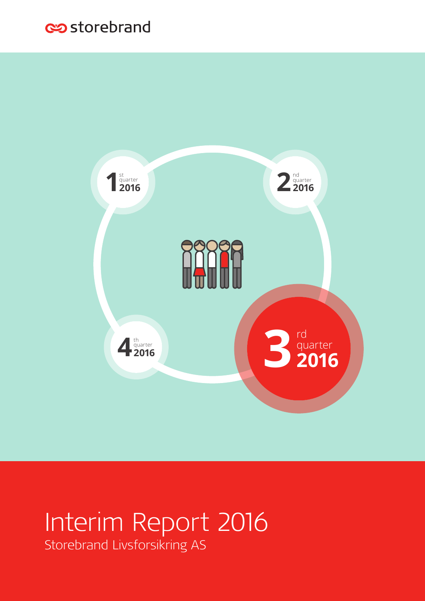### estorebrand



# Interim Report 2016

Storebrand Livsforsikring AS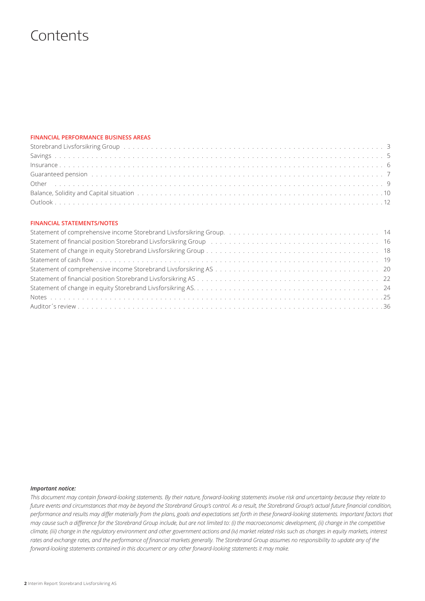### **Contents**

### **FINANCIAL PERFORMANCE BUSINESS AREAS**

| Storebrand Livsforsikring Group by the content of the content of the content of the content of the content of the content of the content of the content of the content of the content of the content of the content of the con |  |
|--------------------------------------------------------------------------------------------------------------------------------------------------------------------------------------------------------------------------------|--|
|                                                                                                                                                                                                                                |  |
|                                                                                                                                                                                                                                |  |
| Guaranteed pension (also contained a series and also contained a series and a series of the series of the series of the series of the series of the series of the series of the series of the series of the series of the seri |  |
|                                                                                                                                                                                                                                |  |
|                                                                                                                                                                                                                                |  |
|                                                                                                                                                                                                                                |  |

### **FINANCIAL STATEMENTS/NOTES**

| Statement of financial position Storebrand Livsforsikring Group (and all conductances of the statement of financial position Storebrand Livsforsikring Group (and all conductances of the statement of the statement of the st |  |
|--------------------------------------------------------------------------------------------------------------------------------------------------------------------------------------------------------------------------------|--|
|                                                                                                                                                                                                                                |  |
|                                                                                                                                                                                                                                |  |
|                                                                                                                                                                                                                                |  |
|                                                                                                                                                                                                                                |  |
|                                                                                                                                                                                                                                |  |
|                                                                                                                                                                                                                                |  |
|                                                                                                                                                                                                                                |  |

#### *Important notice:*

*This document may contain forward-looking statements. By their nature, forward-looking statements involve risk and uncertainty because they relate to future events and circumstances that may be beyond the Storebrand Group's control. As a result, the Storebrand Group's actual future financial condition, performance and results may differ materially from the plans, goals and expectations set forth in these forward-looking statements. Important factors that may cause such a difference for the Storebrand Group include, but are not limited to: (i) the macroeconomic development, (ii) change in the competitive climate, (iii) change in the regulatory environment and other government actions and (iv) market related risks such as changes in equity markets, interest rates and exchange rates, and the performance of financial markets generally. The Storebrand Group assumes no responsibility to update any of the forward-looking statements contained in this document or any other forward-looking statements it may make.*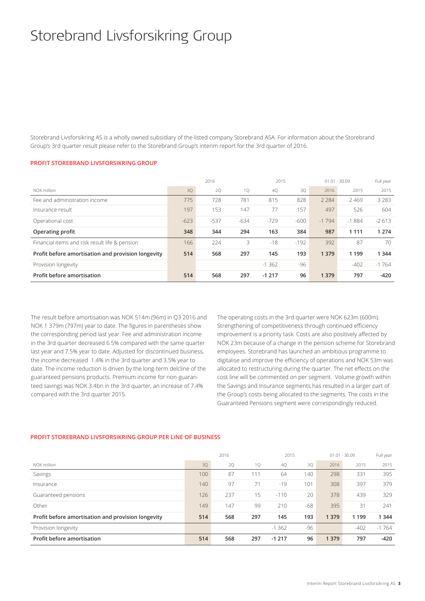## Storebrand Livsforsikring Group

Storebrand Livsforsikring AS is a wholly owned subsidiary of the listed company Storebrand ASA. For information about the Storebrand Group's 3rd quarter result please refer to the Storebrand Group's interim report for the 3rd quarter of 2016.

### **PROFIT STOREBRAND LIVSFORSIKRING GROUP**

|                                                    |        | 2016   |        | 2015    |        | $01.01 - 30.09$ |         | Full year |
|----------------------------------------------------|--------|--------|--------|---------|--------|-----------------|---------|-----------|
| NOK million                                        | 30     | 2Q     | 1Q     | 4Q      | 3Q     | 2016            | 2015    | 2015      |
| Fee and administration income                      | 775    | 728    | 781    | 815     | 828    | 2 2 8 4         | 2469    | 3 2 8 3   |
| Insurance result                                   | 197    | 153    | 147    | 77      | 157    | 497             | 526     | 604       |
| Operational cost                                   | $-623$ | $-537$ | $-634$ | $-729$  | $-600$ | $-1794$         | $-1884$ | $-2613$   |
| Operating profit                                   | 348    | 344    | 294    | 163     | 384    | 987             | 1 1 1 1 | 1 2 7 4   |
| Financial items and risk result life & pension     | 166    | 224    | 3      | $-18$   | $-192$ | 392             | 87      | 70        |
| Profit before amortisation and provision longevity | 514    | 568    | 297    | 145     | 193    | 1 3 7 9         | 1 1 9 9 | 1 3 4 4   |
| Provision longevity                                |        |        |        | $-1362$ | -96    |                 | $-402$  | $-1764$   |
| Profit before amortisation                         | 514    | 568    | 297    | $-1217$ | 96     | 1 3 7 9         | 797     | $-420$    |

The result before amortisation was NOK 514m (96m) in Q3 2016 and NOK 1 379m (797m) year to date. The figures in parentheses show the corresponding period last year. Fee and administration income in the 3rd quarter decreased 6.5% compared with the same quarter last year and 7.5% year to date. Adjusted for discontinued business, the income decreased 1.4% in the 3rd quarter and 3.5% year to date. The income reduction is driven by the long-term delcline of the guaranteed pensions products. Premium income for non-guaranteed savings was NOK 3.4bn in the 3rd quarter, an increase of 7.4% compared with the 3rd quarter 2015.

The operating costs in the 3rd quarter were NOK 623m (600m). Strengthening of competitiveness through continued efficiency improvement is a priority task. Costs are also positively affected by NOK 23m because of a change in the pension scheme for Storebrand employees. Storebrand has launched an ambitious programme to digitalise and improve the efficiency of operations and NOK 53m was allocated to restructuring during the quarter. The net effects on the cost line will be commented on per segment. Volume growth within the Savings and Insurance segments has resulted in a larger part of the Group's costs being allocated to the segments. The costs in the Guaranteed Pensions segment were correspondingly reduced.

### 2016 2015 01.01 - 30.09 Full year NOK million 3Q 2Q 1Q 4Q 3Q 2016 2015 2015 Savings 100 87 111 64 140 298 331 395 Insurance 140 97 71 -19 101 308 397 379 Guaranteed pensions 126 237 15 -110 20 378 439 329 Other 149 147 99 210 -68 395 31 241 **Profit before amortisation and provision longevity 514 568 297 145 193 1 379 1 199 1 344**  Provision longevity 1988 -1 202 -1 202 -1 204 -1 204 -1 204 -1 204 -1 204 -1 204 -1 204 -1 204 -1 204 -1 204 -1 204 -1 204 -1 204 -1 204 -1 204 -1 204 -1 204 -1 204 -1 204 -1 204 -1 204 -1 204 -1 204 -1 204 -1 204 -1 204 -**Profit before amortisation 514 568 297 -1 217 96 1 379 797 -420**

### **PROFIT STOREBRAND LIVSFORSIKRING GROUP PER LINE OF BUSINESS**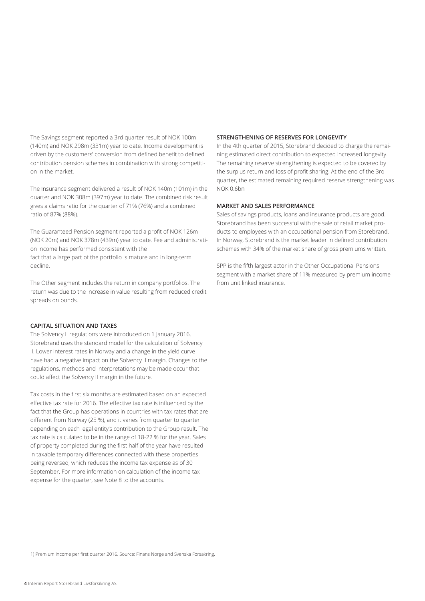The Savings segment reported a 3rd quarter result of NOK 100m (140m) and NOK 298m (331m) year to date. Income development is driven by the customers' conversion from defined benefit to defined contribution pension schemes in combination with strong competition in the market.

The Insurance segment delivered a result of NOK 140m (101m) in the quarter and NOK 308m (397m) year to date. The combined risk result gives a claims ratio for the quarter of 71% (76%) and a combined ratio of 87% (88%).

The Guaranteed Pension segment reported a profit of NOK 126m (NOK 20m) and NOK 378m (439m) year to date. Fee and administration income has performed consistent with the fact that a large part of the portfolio is mature and in long-term decline.

The Other segment includes the return in company portfolios. The return was due to the increase in value resulting from reduced credit spreads on bonds.

#### **CAPITAL SITUATION AND TAXES**

The Solvency II regulations were introduced on 1 January 2016. Storebrand uses the standard model for the calculation of Solvency II. Lower interest rates in Norway and a change in the yield curve have had a negative impact on the Solvency II margin. Changes to the regulations, methods and interpretations may be made occur that could affect the Solvency II margin in the future.

Tax costs in the first six months are estimated based on an expected effective tax rate for 2016. The effective tax rate is influenced by the fact that the Group has operations in countries with tax rates that are different from Norway (25 %), and it varies from quarter to quarter depending on each legal entity's contribution to the Group result. The tax rate is calculated to be in the range of 18-22 % for the year. Sales of property completed during the first half of the year have resulted in taxable temporary differences connected with these properties being reversed, which reduces the income tax expense as of 30 September. For more information on calculation of the income tax expense for the quarter, see Note 8 to the accounts.

### **STRENGTHENING OF RESERVES FOR LONGEVITY**

In the 4th quarter of 2015, Storebrand decided to charge the remaining estimated direct contribution to expected increased longevity. The remaining reserve strengthening is expected to be covered by the surplus return and loss of profit sharing. At the end of the 3rd quarter, the estimated remaining required reserve strengthening was NOK 0.6bn

#### **MARKET AND SALES PERFORMANCE**

Sales of savings products, loans and insurance products are good. Storebrand has been successful with the sale of retail market products to employees with an occupational pension from Storebrand. In Norway, Storebrand is the market leader in defined contribution schemes with 34% of the market share of gross premiums written.

SPP is the fifth largest actor in the Other Occupational Pensions segment with a market share of 11% measured by premium income from unit linked insurance.

1) Premium income per first quarter 2016. Source: Finans Norge and Svenska Forsäkring.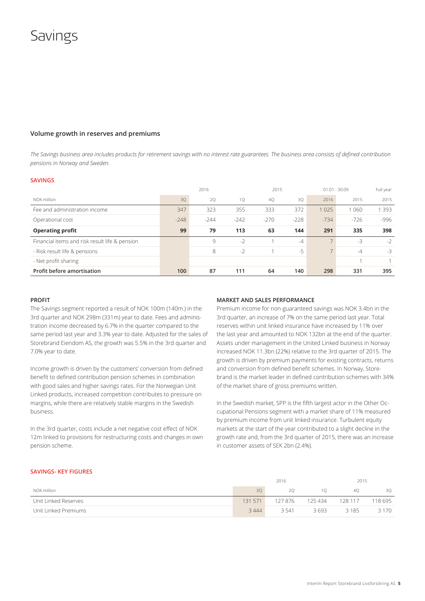### Savings

### **Volume growth in reserves and premiums**

*The Savings business area includes products for retirement savings with no interest rate guarantees. The business area consists of defined contribution pensions in Norway and Sweden.* 

#### **SAVINGS**

|                                                |        | 2016   |        |        | 2015   |        | $01.01 - 30.09$ | Full year |
|------------------------------------------------|--------|--------|--------|--------|--------|--------|-----------------|-----------|
| NOK million                                    | 30     | 20     | 10     | 40     | 30     | 2016   | 2015            | 2015      |
| Fee and administration income                  | 347    | 323    | 355    | 333    | 372    | 1025   | 1 060           | 393       |
| Operational cost                               | $-248$ | $-244$ | $-242$ | $-270$ | $-228$ | $-734$ | $-726$          | $-996$    |
| <b>Operating profit</b>                        | 99     | 79     | 113    | 63     | 144    | 291    | 335             | 398       |
| Financial items and risk result life & pension |        | 9      | $-2$   |        | $-4$   |        | $-3$            | $-2$      |
| - Risk result life & pensions                  |        | 8      | $-2$   |        | $-5$   |        | $-4$            | $-3$      |
| - Net profit sharing                           |        |        |        |        |        |        |                 |           |
| Profit before amortisation                     | 100    | 87     | 111    | 64     | 140    | 298    | 331             | 395       |

#### **PROFIT**

The Savings segment reported a result of NOK 100m (140m.) in the 3rd quarter and NOK 298m (331m) year to date. Fees and administration income decreased by 6.7% in the quarter compared to the same period last year and 3.3% year to date. Adjusted for the sales of Storebrand Eiendom AS, the growth was 5.5% in the 3rd quarter and 7.0% year to date.

Income growth is driven by the customers' conversion from defined benefit to defined contribution pension schemes in combination with good sales and higher savings rates. For the Norwegian Unit Linked products, increased competition contributes to pressure on margins, while there are relatively stable margins in the Swedish business.

In the 3rd quarter, costs include a net negative cost effect of NOK 12m linked to provisions for restructuring costs and changes in own pension scheme.

#### **MARKET AND SALES PERFORMANCE**

Premium income for non-guaranteed savings was NOK 3.4bn in the 3rd quarter, an increase of 7% on the same period last year. Total reserves within unit linked insurance have increased by 11% over the last year and amounted to NOK 132bn at the end of the quarter. Assets under management in the United Linked business in Norway increased NOK 11.3bn (22%) relative to the 3rd quarter of 2015. The growth is driven by premium payments for existing contracts, returns and conversion from defined benefit schemes. In Norway, Storebrand is the market leader in defined contribution schemes with 34% of the market share of gross premiums written.

In the Swedish market, SPP is the fifth largest actor in the Other Occupational Pensions segment with a market share of 11% measured by premium income from unit linked insurance. Turbulent equity markets at the start of the year contributed to a slight decline in the growth rate and, from the 3rd quarter of 2015, there was an increase in customer assets of SEK 2bn (2.4%).

#### **SAVINGS- KEY FIGURES**

|                      |         | 2016    | 2015    |         |         |
|----------------------|---------|---------|---------|---------|---------|
| NOK million          | 30      | 20      | 10      | 40      | 30      |
| Unit Linked Reserves | 131 571 | 127 876 | 125 434 | 128 117 | 118 695 |
| Unit Linked Premiums | 3444    | 3.541   | 3693    | 3185    | 3 1 7 0 |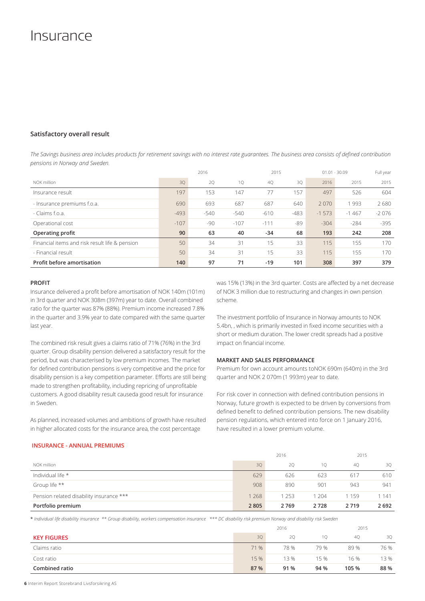### Insurance

### **Satisfactory overall result**

*The Savings business area includes products for retirement savings with no interest rate guarantees. The business area consists of defined contribution pensions in Norway and Sweden.* 

|                                                |        | 2016   |        |        | 2015   |         | $01.01 - 30.09$ | Full year |
|------------------------------------------------|--------|--------|--------|--------|--------|---------|-----------------|-----------|
| NOK million                                    | 30     | 2Q     | 1Q     | 4Q     | 30     | 2016    | 2015            | 2015      |
| Insurance result                               | 197    | 153    | 147    | 77     | 157    | 497     | 526             | 604       |
| - Insurance premiums f.o.a.                    | 690    | 693    | 687    | 687    | 640    | 2070    | 1993            | 2680      |
| - Claims f.o.a.                                | $-493$ | $-540$ | $-540$ | $-610$ | $-483$ | $-1573$ | $-1467$         | $-2076$   |
| Operational cost                               | $-107$ | -90    | $-107$ | $-111$ | -89    | $-304$  | $-284$          | $-395$    |
| Operating profit                               | 90     | 63     | 40     | $-34$  | 68     | 193     | 242             | 208       |
| Financial items and risk result life & pension | 50     | 34     | 31     | 15     | 33     | 115     | 155             | 170       |
| - Financial result                             | 50     | 34     | 31     | 15     | 33     | 115     | 155             | 170       |
| Profit before amortisation                     | 140    | 97     | 71     | $-19$  | 101    | 308     | 397             | 379       |

### **PROFIT**

Insurance delivered a profit before amortisation of NOK 140m (101m) in 3rd quarter and NOK 308m (397m) year to date. Overall combined ratio for the quarter was 87% (88%). Premium income increased 7.8% in the quarter and 3.9% year to date compared with the same quarter last year.

The combined risk result gives a claims ratio of 71% (76%) in the 3rd quarter. Group disability pension delivered a satisfactory result for the period, but was characterised by low premium incomes. The market for defined contribution pensions is very competitive and the price for disability pension is a key competition parameter. Efforts are still being made to strengthen profitability, including repricing of unprofitable customers. A good disability result causeda good result for insurance in Sweden.

As planned, increased volumes and ambitions of growth have resulted in higher allocated costs for the insurance area, the cost percentage

was 15% (13%) in the 3rd quarter. Costs are affected by a net decrease of NOK 3 million due to restructuring and changes in own pension scheme.

The investment portfolio of Insurance in Norway amounts to NOK 5.4bn, , which is primarily invested in fixed income securities with a short or medium duration. The lower credit spreads had a positive impact on financial income.

#### **MARKET AND SALES PERFORMANCE**

Premium for own account amounts toNOK 690m (640m) in the 3rd quarter and NOK 2 070m (1 993m) year to date.

For risk cover in connection with defined contribution pensions in Norway, future growth is expected to be driven by conversions from defined benefit to defined contribution pensions. The new disability pension regulations, which entered into force on 1 January 2016, have resulted in a lower premium volume.

### **INSURANCE - ANNUAL PREMIUMS**

|                                          |       | 2016 |       | 2015 |         |
|------------------------------------------|-------|------|-------|------|---------|
| NOK million                              | 30    | 20   | 10    | 40   | 30      |
| Individual life *                        | 629   | 626  | 623   | 617  | 610     |
| Group life **                            | 908   | 890  | 901   | 943  | 941     |
| Pension related disability insurance *** | 1 268 | 253  | - 204 | 1159 | 1 1 4 1 |
| Portfolio premium                        | 2805  | 2769 | 2728  | 2719 | 2 692   |

\* *Individual life disability insurance \*\* Group disability, workers compensation insurance \*\*\* DC disability risk premium Norway and disability risk Sweden*

|                    | 2016            |      |      | 2015  |      |  |
|--------------------|-----------------|------|------|-------|------|--|
| <b>KEY FIGURES</b> | 30 <sup>°</sup> | 20   | 10   | 40    | 3Q   |  |
| Claims ratio       | 71 %            | 78%  | 79 % | 89%   | 76 % |  |
| Cost ratio         | 15 %            | 13%  | 15 % | 16 %  | 13 % |  |
| Combined ratio     | 87 %            | 91 % | 94 % | 105 % | 88 % |  |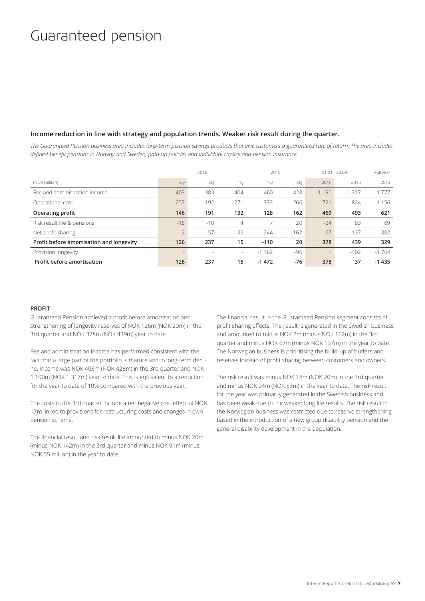### Guaranteed pension

### **Income reduction in line with strategy and population trends. Weaker risk result during the quarter.**

*The Guaranteed Pension business area includes long-term pension savings products that give customers a guaranteed rate of return. The area includes defined-benefit pensions in Norway and Sweden, paid-up policies and individual capital and pension insurance.*

|                                          |                   | 2016   |                | 2015     |        | $01.01 - 30.09$ |        | Full year |
|------------------------------------------|-------------------|--------|----------------|----------|--------|-----------------|--------|-----------|
| (NOK million)                            | 30                | 20     | 10             | 40       | 30     | 2016            | 2015   | 2015      |
| Fee and administration income            | 403               | 383    | 404            | 460      | 428    | 190             | -317   | 1 777     |
| Operational cost                         | $-257$            | $-192$ | $-271$         | $-333$   | $-266$ | $-721$          | $-824$ | $-1156$   |
| Operating profit                         | 146               | 191    | 132            | 128      | 162    | 469             | 493    | 621       |
| Risk result life & pensions              | $-18$             | $-10$  | $\overline{4}$ |          | 20     | $-24$           | 83     | 89        |
| Net profit sharing                       | $-2$              | 57     | $-122$         | $-244$   | $-162$ | $-67$           | $-137$ | $-382$    |
| Profit before amortisation and longevity | 126               | 237    | 15             | $-110$   | 20     | 378             | 439    | 329       |
| Provision longevity                      | $\qquad \qquad =$ |        | ٠              | $-1.362$ | -96    |                 | $-402$ | $-1764$   |
| Profit before amortisation               | 126               | 237    | 15             | $-1472$  | -76    | 378             | 37     | $-1435$   |

### **PROFIT**

Guaranteed Pension achieved a profit before amortisation and strengthening of longevity reserves of NOK 126m (NOK 20m) in the 3rd quarter and NOK 378m (NOK 439m) year to date.

Fee and administration income has performed consistent with the fact that a large part of the portfolio is mature and in long-term decline. Income was NOK 403m (NOK 428m) in the 3rd quarter and NOK 1 190m (NOK 1 317m) year to date. This is equivalent to a reduction for the year to date of 10% compared with the previous year.

The costs in the 3rd quarter include a net negative cost effect of NOK 17m linked to provisions for restructuring costs and changes in own pension scheme.

The financial result and risk result life amounted to minus NOK 20m (minus NOK 142m) in the 3rd quarter and minus NOK 91m (minus NOK 55 million) in the year to date.

The financial result in the Guaranteed Pension segment consists of profit sharing effects. The result is generated in the Swedish business and amounted to minus NOK 2m (minus NOK 162m) in the 3rd quarter and minus NOK 67m (minus NOK 137m) in the year to date. The Norwegian business is prioritising the build-up of buffers and reserves instead of profit sharing between customers and owners.

The risk result was minus NOK 18m (NOK 20m) in the 3rd quarter and minus NOK 24m (NOK 83m) in the year to date. The risk result for the year was primarily generated in the Swedish business and has been weak due to the weaker long life results. The risk result in the Norwegian business was restricted due to reserve strengthening based in the introduction of a new group disability pension and the general disability development in the population.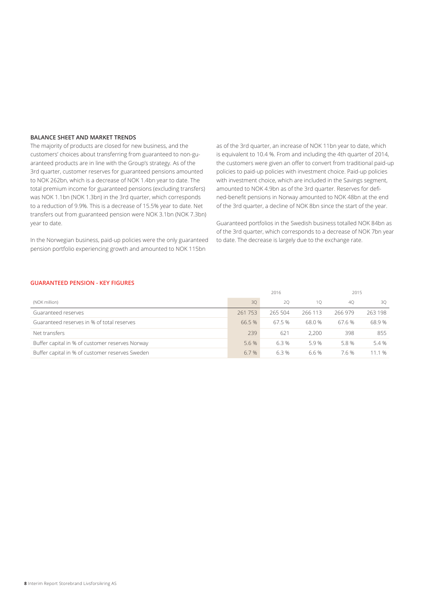### **BALANCE SHEET AND MARKET TRENDS**

The majority of products are closed for new business, and the customers' choices about transferring from guaranteed to non-guaranteed products are in line with the Group's strategy. As of the 3rd quarter, customer reserves for guaranteed pensions amounted to NOK 262bn, which is a decrease of NOK 1.4bn year to date. The total premium income for guaranteed pensions (excluding transfers) was NOK 1.1bn (NOK 1.3bn) in the 3rd quarter, which corresponds to a reduction of 9.9%. This is a decrease of 15.5% year to date. Net transfers out from guaranteed pension were NOK 3.1bn (NOK 7.3bn) year to date.

In the Norwegian business, paid-up policies were the only guaranteed pension portfolio experiencing growth and amounted to NOK 115bn

as of the 3rd quarter, an increase of NOK 11bn year to date, which is equivalent to 10.4 %. From and including the 4th quarter of 2014, the customers were given an offer to convert from traditional paid-up policies to paid-up policies with investment choice. Paid-up policies with investment choice, which are included in the Savings segment, amounted to NOK 4.9bn as of the 3rd quarter. Reserves for defined-benefit pensions in Norway amounted to NOK 48bn at the end of the 3rd quarter, a decline of NOK 8bn since the start of the year.

Guaranteed portfolios in the Swedish business totalled NOK 84bn as of the 3rd quarter, which corresponds to a decrease of NOK 7bn year to date. The decrease is largely due to the exchange rate.

### **GUARANTEED PENSION - KEY FIGURES**

|                                                 | 2016<br>30<br>20<br>261 753<br>265 504 |       |         | 2015   |         |  |  |
|-------------------------------------------------|----------------------------------------|-------|---------|--------|---------|--|--|
| (NOK million)                                   |                                        |       | 10      | 40     | 30      |  |  |
| Guaranteed reserves                             |                                        |       | 266 113 | 266979 | 263 198 |  |  |
| Guaranteed reserves in % of total reserves      | 66.5%                                  | 67.5% | 68.0 %  | 67.6 % | 68.9%   |  |  |
| Net transfers                                   | 239                                    | 621   | 2.200   | 398    | 855     |  |  |
| Buffer capital in % of customer reserves Norway | 5.6 %                                  | 6.3%  | 5.9%    | 5.8 %  | 5.4 %   |  |  |
| Buffer capital in % of customer reserves Sweden | 6.7 %                                  | 6.3%  | 6.6 %   | 7.6 %  | 11.1 %  |  |  |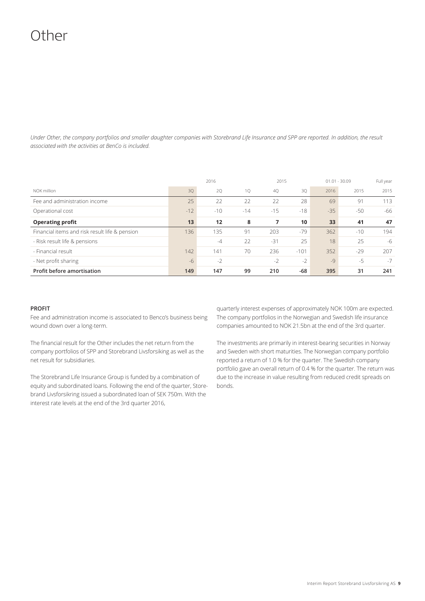## Other

*Under Other, the company portfolios and smaller daughter companies with Storebrand Life Insurance and SPP are reported. In addition, the result associated with the activities at BenCo is included.*

|                                                |       | 2016  |       |       | 2015   | $01.01 - 30.09$ |       | Full year |
|------------------------------------------------|-------|-------|-------|-------|--------|-----------------|-------|-----------|
| NOK million                                    | 3Q    | 20    | 1Q    | 4Q    | 3Q     | 2016            | 2015  | 2015      |
| Fee and administration income                  | 25    | 22    | 22    | 22    | 28     | 69              | 91    | 113       |
| Operational cost                               | $-12$ | $-10$ | $-14$ | $-15$ | $-18$  | $-35$           | $-50$ | -66       |
| <b>Operating profit</b>                        | 13    | 12    | 8     | 7     | 10     | 33              | 41    | 47        |
| Financial items and risk result life & pension | 136   | 135   | 91    | 203   | $-79$  | 362             | $-10$ | 194       |
| - Risk result life & pensions                  |       | $-4$  | 22    | $-31$ | 25     | 18              | 25    | $-6$      |
| - Financial result                             | 142   | 141   | 70    | 236   | $-101$ | 352             | $-29$ | 207       |
| - Net profit sharing                           | $-6$  | $-2$  |       | $-2$  | $-2$   | $-9$            | $-5$  | $-7$      |
| Profit before amortisation                     | 149   | 147   | 99    | 210   | $-68$  | 395             | 31    | 241       |

### **PROFIT**

Fee and administration income is associated to Benco's business being wound down over a long-term.

The financial result for the Other includes the net return from the company portfolios of SPP and Storebrand Livsforsiking as well as the net result for subsidiaries.

The Storebrand Life Insurance Group is funded by a combination of equity and subordinated loans. Following the end of the quarter, Storebrand Livsforsikring issued a subordinated loan of SEK 750m. With the interest rate levels at the end of the 3rd quarter 2016,

quarterly interest expenses of approximately NOK 100m are expected. The company portfolios in the Norwegian and Swedish life insurance companies amounted to NOK 21.5bn at the end of the 3rd quarter.

The investments are primarily in interest-bearing securities in Norway and Sweden with short maturities. The Norwegian company portfolio reported a return of 1.0 % for the quarter. The Swedish company portfolio gave an overall return of 0.4 % for the quarter. The return was due to the increase in value resulting from reduced credit spreads on bonds.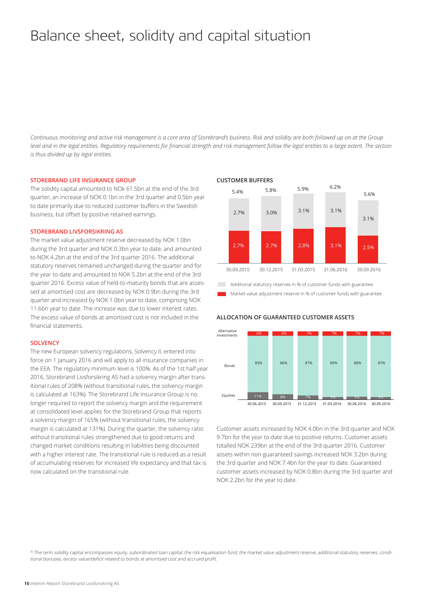## Balance sheet, solidity and capital situation

*Continuous monitoring and active risk management is a core area of Storebrand's business. Risk and solidity are both followed up on at the Group level and in the legal entities. Regulatory requirements for financial strength and risk management follow the legal entities to a large extent. The section is thus divided up by legal entities.* 

#### **STOREBRAND LIFE INSURANCE GROUP**

The solidity capital amounted to NOk 61.5bn at the end of the 3rd quarter, an increase of NOK 0.1bn in the 3rd quarter and 0.5bn year to date primarily due to reduced customer buffers in the Swedish business, but offset by positive retained earnings.

### **STOREBRAND LIVSFORSIKRING AS**

The market value adjustment reserve decreased by NOK 1.0bn during the 3rd quarter and NOK 0.3bn year to date, and amounted to NOK 4.2bn at the end of the 3rd quarter 2016. The additional statutory reserves remained unchanged during the quarter and for the year to date and amounted to NOK 5.2bn at the end of the 3rd quarter 2016. Excess value of held-to-maturity bonds that are assessed at amortised cost are decreased by NOK 0.9bn during the 3rd quarter and increased by NOK 1.0bn year to date, comprising NOK 11.6bn year to date. The increase was due to lower interest rates. The excess value of bonds at amortised cost is not included in the financial statements.

#### **SOLVENCY**

The new European solvency regulations, Solvency II, entered into force on 1 January 2016 and will apply to all insurance companies in the EEA. The regulatory minimum level is 100%. As of the 1st half year 2016, Storebrand Livsforsikring AS had a solvency margin after transitional rules of 208% (without transitional rules, the solvency margin is calculated at 163%). The Storebrand Life Insurance Group is no longer required to report the solvency margin and the requirement at consolidated level applies for the Storebrand Group that reports a solvency margin of 165% (without transitional rules, the solvency margin is calculated at 131%). During the quarter, the solvency ratio without transitional rules strengthened due to good returns and changed market conditions resulting in liabilities being discounted with a higher interest rate. The transitional rule is reduced as a result of accumulating reserves for increased life expectancy and that tax is now calculated on the transitional rule.

#### **CUSTOMER BUFFERS**



Additional statutory reserves in % of customer funds with guarantee Market value adjustment reserve in % of customer funds with guarantee

### **ALLOCATION OF GUARANTEED CUSTOMER ASSETS**



Customer assets increased by NOK 4.0bn in the 3rd quarter and NOK 9.7bn for the year to date due to positive returns. Customer assets totalled NOK 239bn at the end of the 3rd quarter 2016. Customer assets within non-guaranteed savings increased NOK 3.2bn during the 3rd quarter and NOK 7.4bn for the year to date. Guaranteed customer assets increased by NOK 0.8bn during the 3rd quarter and NOK 2.2bn for the year to date.

1) The term solidity capital encompasses equity, subordinated loan capital, the risk equalisation fund, the market value adjustment reserve, additional statutory reserves, conditional bonuses, excess value/deficit related to bonds at amortised cost and accrued profit.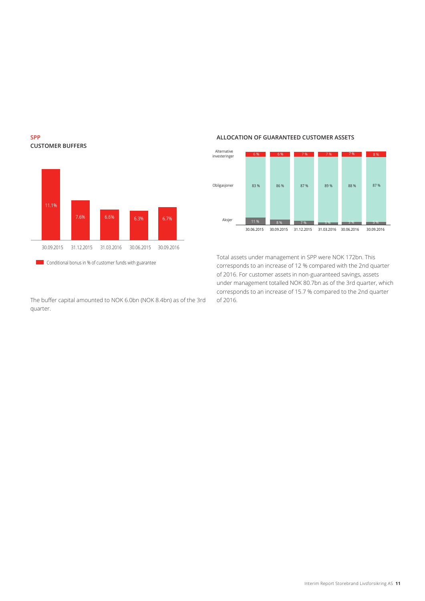

**SPP**

**CUSTOMER BUFFERS**

The buffer capital amounted to NOK 6.0bn (NOK 8.4bn) as of the 3rd quarter.

### **ALLOCATION OF GUARANTEED CUSTOMER ASSETS**



Total assets under management in SPP were NOK 172bn. This corresponds to an increase of 12 % compared with the 2nd quarter of 2016. For customer assets in non-guaranteed savings, assets under management totalled NOK 80.7bn as of the 3rd quarter, which corresponds to an increase of 15.7 % compared to the 2nd quarter of 2016.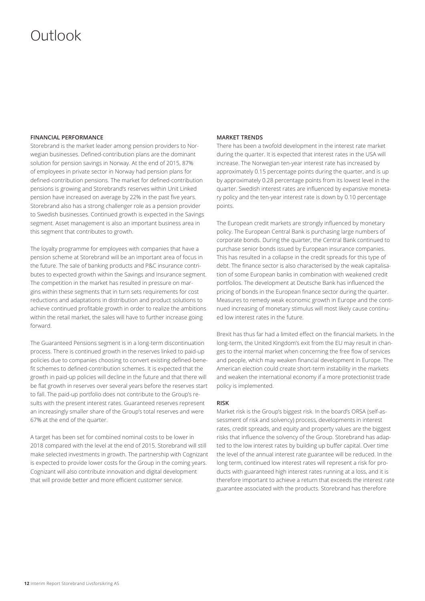## Outlook

### **FINANCIAL PERFORMANCE**

Storebrand is the market leader among pension providers to Norwegian businesses. Defined-contribution plans are the dominant solution for pension savings in Norway. At the end of 2015, 87% of employees in private sector in Norway had pension plans for defined-contribution pensions. The market for defined-contribution pensions is growing and Storebrand's reserves within Unit Linked pension have increased on average by 22% in the past five years. Storebrand also has a strong challenger role as a pension provider to Swedish businesses. Continued growth is expected in the Savings segment. Asset management is also an important business area in this segment that contributes to growth.

The loyalty programme for employees with companies that have a pension scheme at Storebrand will be an important area of focus in the future. The sale of banking products and P&C insurance contributes to expected growth within the Savings and Insurance segment. The competition in the market has resulted in pressure on margins within these segments that in turn sets requirements for cost reductions and adaptations in distribution and product solutions to achieve continued profitable growth in order to realize the ambitions within the retail market, the sales will have to further increase going forward.

The Guaranteed Pensions segment is in a long-term discontinuation process. There is continued growth in the reserves linked to paid-up policies due to companies choosing to convert existing defined-benefit schemes to defined-contribution schemes. It is expected that the growth in paid-up policies will decline in the future and that there will be flat growth in reserves over several years before the reserves start to fall. The paid-up portfolio does not contribute to the Group's results with the present interest rates. Guaranteed reserves represent an increasingly smaller share of the Group's total reserves and were 67% at the end of the quarter.

A target has been set for combined nominal costs to be lower in 2018 compared with the level at the end of 2015. Storebrand will still make selected investments in growth. The partnership with Cognizant is expected to provide lower costs for the Group in the coming years. Cognizant will also contribute innovation and digital development that will provide better and more efficient customer service.

### **MARKET TRENDS**

There has been a twofold development in the interest rate market during the quarter. It is expected that interest rates in the USA will increase. The Norwegian ten-year interest rate has increased by approximately 0.15 percentage points during the quarter, and is up by approximately 0.28 percentage points from its lowest level in the quarter. Swedish interest rates are influenced by expansive monetary policy and the ten-year interest rate is down by 0.10 percentage points.

The European credit markets are strongly influenced by monetary policy. The European Central Bank is purchasing large numbers of corporate bonds. During the quarter, the Central Bank continued to purchase senior bonds issued by European insurance companies. This has resulted in a collapse in the credit spreads for this type of debt. The finance sector is also characterised by the weak capitalisation of some European banks in combination with weakened credit portfolios. The development at Deutsche Bank has influenced the pricing of bonds in the European finance sector during the quarter. Measures to remedy weak economic growth in Europe and the continued increasing of monetary stimulus will most likely cause continued low interest rates in the future.

Brexit has thus far had a limited effect on the financial markets. In the long-term, the United Kingdom's exit from the EU may result in changes to the internal market when concerning the free flow of services and people, which may weaken financial development in Europe. The American election could create short-term instability in the markets and weaken the international economy if a more protectionist trade policy is implemented.

#### **RISK**

Market risk is the Group's biggest risk. In the board's ORSA (self-assessment of risk and solvency) process, developments in interest rates, credit spreads, and equity and property values are the biggest risks that influence the solvency of the Group. Storebrand has adapted to the low interest rates by building up buffer capital. Over time the level of the annual interest rate guarantee will be reduced. In the long term, continued low interest rates will represent a risk for products with guaranteed high interest rates running at a loss, and it is therefore important to achieve a return that exceeds the interest rate guarantee associated with the products. Storebrand has therefore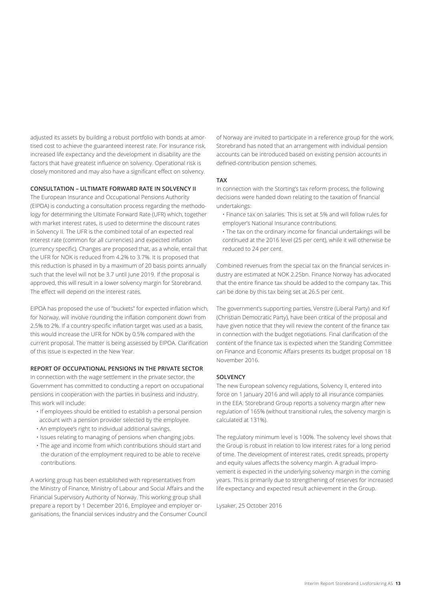adjusted its assets by building a robust portfolio with bonds at amortised cost to achieve the guaranteed interest rate. For insurance risk, increased life expectancy and the development in disability are the factors that have greatest influence on solvency. Operational risk is closely monitored and may also have a significant effect on solvency.

### **CONSULTATION – ULTIMATE FORWARD RATE IN SOLVENCY II**

The European Insurance and Occupational Pensions Authority (EIPOA) is conducting a consultation process regarding the methodology for determining the Ultimate Forward Rate (UFR) which, together with market interest rates, is used to determine the discount rates in Solvency II. The UFR is the combined total of an expected real interest rate (common for all currencies) and expected inflation (currency specific). Changes are proposed that, as a whole, entail that the UFR for NOK is reduced from 4.2% to 3.7%. It is proposed that this reduction is phased in by a maximum of 20 basis points annually such that the level will not be 3.7 until June 2019. If the proposal is approved, this will result in a lower solvency margin for Storebrand. The effect will depend on the interest rates.

EIPOA has proposed the use of "buckets" for expected inflation which, for Norway, will involve rounding the inflation component down from 2.5% to 2%. If a country-specific inflation target was used as a basis, this would increase the UFR for NOK by 0.5% compared with the current proposal. The matter is being assessed by EIPOA. Clarification of this issue is expected in the New Year.

#### **REPORT OF OCCUPATIONAL PENSIONS IN THE PRIVATE SECTOR**

In connection with the wage settlement in the private sector, the Government has committed to conducting a report on occupational pensions in cooperation with the parties in business and industry. This work will include:

- If employees should be entitled to establish a personal pension account with a pension provider selected by the employee.
- An employee's right to individual additional savings.
- Issues relating to managing of pensions when changing jobs.
- The age and income from which contributions should start and the duration of the employment required to be able to receive contributions.

A working group has been established with representatives from the Ministry of Finance, Ministry of Labour and Social Affairs and the Financial Supervisory Authority of Norway. This working group shall prepare a report by 1 December 2016. Employee and employer organisations, the financial services industry and the Consumer Council

of Norway are invited to participate in a reference group for the work. Storebrand has noted that an arrangement with individual pension accounts can be introduced based on existing pension accounts in defined-contribution pension schemes.

#### **TAX**

In connection with the Storting's tax reform process, the following decisions were handed down relating to the taxation of financial undertakings:

- Finance tax on salaries. This is set at 5% and will follow rules for employer's National Insurance contributions.
- The tax on the ordinary income for financial undertakings will be continued at the 2016 level (25 per cent), while it will otherwise be reduced to 24 per cent.

Combined revenues from the special tax on the financial services industry are estimated at NOK 2.25bn. Finance Norway has advocated that the entire finance tax should be added to the company tax. This can be done by this tax being set at 26.5 per cent.

The government's supporting parties, Venstre (Liberal Party) and Krf (Christian Democratic Party), have been critical of the proposal and have given notice that they will review the content of the finance tax in connection with the budget negotiations. Final clarification of the content of the finance tax is expected when the Standing Committee on Finance and Economic Affairs presents its budget proposal on 18 November 2016.

### **SOLVENCY**

The new European solvency regulations, Solvency II, entered into force on 1 January 2016 and will apply to all insurance companies in the EEA. Storebrand Group reports a solvency margin after new regulation of 165% (without transitional rules, the solvency margin is calculated at 131%).

The regulatory minimum level is 100%. The solvency level shows that the Group is robust in relation to low interest rates for a long period of time. The development of interest rates, credit spreads, property and equity values affects the solvency margin. A gradual improvement is expected in the underlying solvency margin in the coming years. This is primarily due to strengthening of reserves for increased life expectancy and expected result achievement in the Group.

Lysaker, 25 October 2016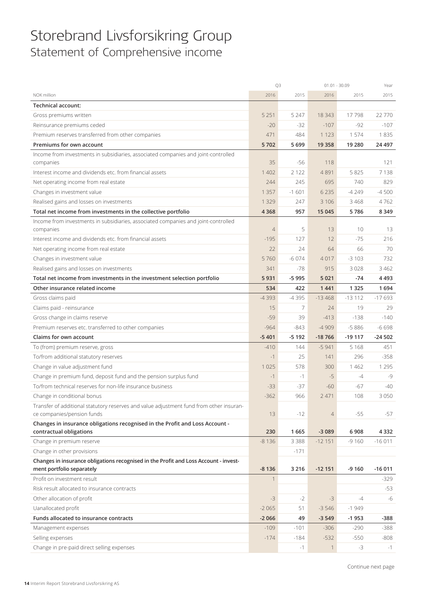### Storebrand Livsforsikring Group Statement of Comprehensive income

|                                                                                                                       | Q3             |         | $01.01 - 30.09$ |          | Year     |
|-----------------------------------------------------------------------------------------------------------------------|----------------|---------|-----------------|----------|----------|
| NOK million                                                                                                           | 2016           | 2015    | 2016            | 2015     | 2015     |
| Technical account:                                                                                                    |                |         |                 |          |          |
| Gross premiums written                                                                                                | 5 2 5 1        | 5 2 4 7 | 18 3 43         | 17798    | 22 770   |
| Reinsurance premiums ceded                                                                                            | $-20$          | $-32$   | $-107$          | $-92$    | $-107$   |
| Premium reserves transferred from other companies                                                                     | 471            | 484     | 1 1 2 3         | 1574     | 1835     |
| Premiums for own account                                                                                              | 5702           | 5699    | 19 3 58         | 19 280   | 24 497   |
| Income from investments in subsidiaries, associated companies and joint-controlled                                    |                |         |                 |          |          |
| companies                                                                                                             | 35             | -56     | 118             |          | 121      |
| Interest income and dividends etc, from financial assets                                                              | 1 4 0 2        | 2 1 2 2 | 4891            | 5825     | 7138     |
| Net operating income from real estate                                                                                 | 244            | 245     | 695             | 740      | 829      |
| Changes in investment value                                                                                           | 1 3 5 7        | $-1601$ | 6 2 3 5         | $-4249$  | $-4500$  |
| Realised gains and losses on investments                                                                              | 1 3 2 9        | 247     | 3 1 0 6         | 3 4 6 8  | 4762     |
| Total net income from investments in the collective portfolio                                                         | 4 3 6 8        | 957     | 15 045          | 5786     | 8 3 4 9  |
| Income from investments in subsidiaries, associated companies and joint-controlled                                    |                |         |                 |          |          |
| companies                                                                                                             | $\overline{4}$ | 5       | 13              | 10       | 13       |
| Interest income and dividends etc. from financial assets                                                              | $-195$         | 127     | 12              | $-75$    | 216      |
| Net operating income from real estate                                                                                 | 22             | 24      | 64              | 66       | 70       |
| Changes in investment value                                                                                           | 5760           | $-6074$ | 4017            | $-3103$  | 732      |
| Realised gains and losses on investments                                                                              | 341            | $-78$   | 915             | 3028     | 3 4 6 2  |
| Total net income from investments in the investment selection portfolio                                               | 5931           | $-5995$ | 5 0 21          | $-74$    | 4 4 9 3  |
| Other insurance related income                                                                                        | 534            | 422     | 1441            | 1 3 2 5  | 1694     |
| Gross claims paid                                                                                                     | $-4393$        | $-4395$ | $-13468$        | $-13112$ | $-17693$ |
| Claims paid - reinsurance                                                                                             | 15             | 7       | 24              | 19       | 29       |
| Gross change in claims reserve                                                                                        | $-59$          | 39      | $-413$          | $-138$   | $-140$   |
| Premium reserves etc. transferred to other companies                                                                  | $-964$         | $-843$  | $-4909$         | $-5886$  | $-6698$  |
| <b>Claims for own account</b>                                                                                         | $-5401$        | $-5192$ | $-18766$        | $-19117$ | $-24502$ |
| To (from) premium reserve, gross                                                                                      | $-410$         | 144     | $-5941$         | 5 1 6 8  | 451      |
| To/from additional statutory reserves                                                                                 | $-1$           | 25      | 141             | 296      | $-358$   |
| Change in value adjustment fund                                                                                       | 1 0 2 5        | 578     | 300             | 1 4 6 2  | 1 2 9 5  |
| Change in premium fund, deposit fund and the pension surplus fund                                                     | $-1$           | $-1$    | $-5$            | $-4$     | $-9$     |
| To/from technical reserves for non-life insurance business                                                            | $-33$          | $-37$   | $-60$           | -67      | $-40$    |
| Change in conditional bonus                                                                                           | $-362$         | 966     | 2 4 7 1         | 108      | 3 0 5 0  |
| Transfer of additional statutory reserves and value adjustment fund from other insuran-<br>ce companies/pension funds | 13             | $-12$   | $\overline{4}$  | $-55$    | $-57$    |
| Changes in insurance obligations recognised in the Profit and Loss Account -                                          |                |         |                 |          |          |
| contractual obligations                                                                                               | 230            | 1665    | $-3089$         | 6908     | 4 3 3 2  |
| Change in premium reserve                                                                                             | $-8136$        | 3 3 8 8 | $-12151$        | $-9160$  | $-16011$ |
| Change in other provisions                                                                                            |                | $-171$  |                 |          |          |
| Changes in insurance obligations recognised in the Profit and Loss Account - invest-                                  |                |         |                 |          |          |
| ment portfolio separately                                                                                             | $-8136$        | 3 2 1 6 | $-12151$        | $-9160$  | $-16011$ |
| Profit on investment result                                                                                           | $\mathbf{1}$   |         |                 |          | $-329$   |
| Risk result allocated to insurance contracts                                                                          |                |         |                 |          | $-53$    |
| Other allocation of profit                                                                                            | $-3$           | $-2$    | $-3$            | $-4$     | -6       |
| Uanallocated profit                                                                                                   | $-2065$        | 51      | $-3546$         | $-1949$  |          |
| Funds allocated to insurance contracts                                                                                | $-2066$        | 49      | $-3549$         | $-1953$  | $-388$   |
| Management expenses                                                                                                   | $-109$         | $-101$  | $-306$          | $-290$   | $-388$   |
| Selling expenses                                                                                                      | $-174$         | $-184$  | $-532$          | $-550$   | $-808$   |
| Change in pre-paid direct selling expenses                                                                            |                | $-1$    | 1               | $-3$     | $-1$     |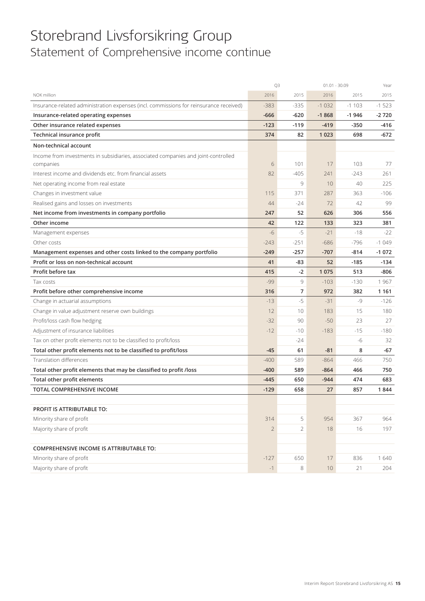### Storebrand Livsforsikring Group Statement of Comprehensive income continue

|                                                                                        |                | Q3     | $01.01 - 30.09$ |         | Year    |
|----------------------------------------------------------------------------------------|----------------|--------|-----------------|---------|---------|
| NOK million                                                                            | 2016           | 2015   | 2016            | 2015    | 2015    |
| Insurance-related administration expenses (incl. commissions for reinsurance received) | $-383$         | $-335$ | $-1032$         | $-1103$ | $-1523$ |
| Insurance-related operating expenses                                                   | $-666$         | $-620$ | $-1868$         | $-1946$ | $-2720$ |
| Other insurance related expenses                                                       | $-123$         | $-119$ | $-419$          | $-350$  | -416    |
| Technical insurance profit                                                             | 374            | 82     | 1 0 2 3         | 698     | -672    |
| Non-technical account                                                                  |                |        |                 |         |         |
| Income from investments in subsidiaries, associated companies and joint-controlled     |                |        |                 |         |         |
| companies                                                                              | 6              | 101    | 17              | 103     | 77      |
| Interest income and dividends etc. from financial assets                               | 82             | -405   | 241             | $-243$  | 261     |
| Net operating income from real estate                                                  |                | 9      | 10              | 40      | 225     |
| Changes in investment value                                                            | 115            | 371    | 287             | 363     | $-106$  |
| Realised gains and losses on investments                                               | 44             | $-24$  | 72              | 42      | 99      |
| Net income from investments in company portfolio                                       | 247            | 52     | 626             | 306     | 556     |
| Other income                                                                           | 42             | 122    | 133             | 323     | 381     |
| Management expenses                                                                    | $-6$           | $-5$   | $-21$           | $-18$   | $-22$   |
| Other costs                                                                            | $-243$         | $-251$ | $-686$          | $-796$  | $-1049$ |
| Management expenses and other costs linked to the company portfolio                    | -249           | $-257$ | $-707$          | $-814$  | $-1072$ |
| Profit or loss on non-technical account                                                | 41             | -83    | 52              | $-185$  | -134    |
| Profit before tax                                                                      | 415            | $-2$   | 1075            | 513     | -806    |
| Tax costs                                                                              | $-99$          | 9      | $-103$          | $-130$  | 1967    |
| Profit before other comprehensive income                                               | 316            | 7      | 972             | 382     | 1 1 6 1 |
| Change in actuarial assumptions                                                        | $-13$          | $-5$   | $-31$           | $-9$    | $-126$  |
| Change in value adjustment reserve own buildings                                       | 12             | 10     | 183             | 15      | 180     |
| Profit/loss cash flow hedging                                                          | $-32$          | 90     | $-50$           | 23      | 27      |
| Adjustment of insurance liabilities                                                    | $-12$          | $-10$  | $-183$          | $-15$   | $-180$  |
| Tax on other profit elements not to be classified to profit/loss                       |                | $-24$  |                 | -6      | 32      |
| Total other profit elements not to be classified to profit/loss                        | $-45$          | 61     | $-81$           | 8       | $-67$   |
| Translation differences                                                                | $-400$         | 589    | $-864$          | 466     | 750     |
| Total other profit elements that may be classified to profit /loss                     | -400           | 589    | $-864$          | 466     | 750     |
| Total other profit elements                                                            | $-445$         | 650    | $-944$          | 474     | 683     |
| TOTAL COMPREHENSIVE INCOME                                                             | $-129$         | 658    | 27              | 857     | 1844    |
|                                                                                        |                |        |                 |         |         |
| PROFIT IS ATTRIBUTABLE TO:                                                             |                |        |                 |         |         |
| Minority share of profit                                                               | 314            | 5      | 954             | 367     | 964     |
| Majority share of profit                                                               | $\overline{2}$ | 2      | 18              | 16      | 197     |
|                                                                                        |                |        |                 |         |         |
| COMPREHENSIVE INCOME IS ATTRIBUTABLE TO:                                               |                |        |                 |         |         |
| Minority share of profit                                                               | $-127$         | 650    | 17              | 836     | 1640    |
| Majority share of profit                                                               | $-1$           | 8      | 10              | 21      | 204     |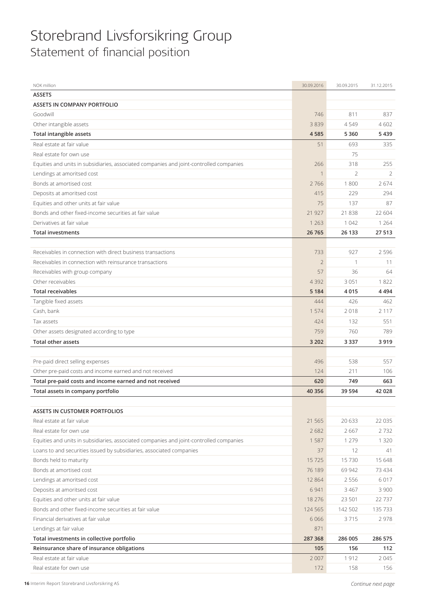### Storebrand Livsforsikring Group Statement of financial position

| NOK million                                                                             | 30.09.2016     | 30.09.2015     | 31.12.2015 |
|-----------------------------------------------------------------------------------------|----------------|----------------|------------|
| <b>ASSETS</b>                                                                           |                |                |            |
| <b>ASSETS IN COMPANY PORTFOLIO</b>                                                      |                |                |            |
| Goodwill                                                                                | 746            | 811            | 837        |
| Other intangible assets                                                                 | 3839           | 4549           | 4602       |
| <b>Total intangible assets</b>                                                          | 4585           | 5 3 6 0        | 5439       |
| Real estate at fair value                                                               | 51             | 693            | 335        |
| Real estate for own use                                                                 |                | 75             |            |
| Equities and units in subsidiaries, associated companies and joint-controlled companies | 266            | 318            | 255        |
| Lendings at amoritsed cost                                                              | $\mathbf{1}$   | $\overline{2}$ | 2          |
| Bonds at amortised cost                                                                 | 2766           | 1800           | 2674       |
| Deposits at amoritsed cost                                                              | 415            | 229            | 294        |
| Equities and other units at fair value                                                  | 75             | 137            | 87         |
| Bonds and other fixed-income securities at fair value                                   | 21 9 27        | 21838          | 22 604     |
| Derivatives at fair value                                                               | 1 2 6 3        | 1 0 4 2        | 1 2 6 4    |
| <b>Total investments</b>                                                                | 26 765         | 26 133         | 27 513     |
|                                                                                         |                |                |            |
| Receivables in connection with direct business transactions                             | 733            | 927            | 2596       |
| Receivables in connection with reinsurance transactions                                 | $\overline{2}$ | $\mathbf{1}$   | 11         |
| Receivables with group company                                                          | 57             | 36             | 64         |
| Other receivables                                                                       | 4392           | 3 0 5 1        | 1822       |
| <b>Total receivables</b>                                                                | 5 1 8 4        | 4015           | 4494       |
| Tangible fixed assets                                                                   | 444            | 426            | 462        |
| Cash, bank                                                                              | 1 574          | 2018           | 2 1 1 7    |
| Tax assets                                                                              | 424            | 132            | 551        |
| Other assets designated according to type                                               | 759            | 760            | 789        |
| <b>Total other assets</b>                                                               | 3 2 0 2        | 3 3 3 7        | 3919       |
|                                                                                         |                |                |            |
| Pre-paid direct selling expenses                                                        | 496            | 538            | 557        |
| Other pre-paid costs and income earned and not received                                 | 124            | 211            | 106        |
| Total pre-paid costs and income earned and not received                                 | 620            | 749            | 663        |
| Total assets in company portfolio                                                       | 40 35 6        | 39 5 94        | 42 028     |
|                                                                                         |                |                |            |
| <b>ASSETS IN CUSTOMER PORTFOLIOS</b>                                                    |                |                |            |
| Real estate at fair value                                                               | 21 5 6 5       | 20 633         | 22 0 35    |
| Real estate for own use                                                                 | 2682           | 2667           | 2732       |
| Equities and units in subsidiaries, associated companies and joint-controlled companies | 1587           | 1 2 7 9        | 1 3 2 0    |
| Loans to and securities issued by subsidiaries, associated companies                    | 37             | 12             | 41         |
| Bonds held to maturity                                                                  | 15725          | 15730          | 15 648     |
| Bonds at amortised cost                                                                 | 76 189         | 69 942         | 73 434     |
| Lendings at amoritsed cost                                                              | 12 8 6 4       | 2 5 5 6        | 6017       |
| Deposits at amoritsed cost                                                              | 6 9 4 1        | 3 4 6 7        | 3 9 0 0    |
| Equities and other units at fair value                                                  | 18 27 6        | 23 501         | 22737      |
| Bonds and other fixed-income securities at fair value                                   | 124 565        | 142 502        | 135 733    |
| Financial derivatives at fair value                                                     | 6 0 6 6        | 3715           | 2978       |
| Lendings at fair value                                                                  | 871            |                |            |
| Total investments in collective portfolio                                               | 287 368        | 286 005        | 286 575    |
| Reinsurance share of insurance obligations                                              | 105            | 156            | 112        |
| Real estate at fair value                                                               | 2 0 0 7        | 1912           | 2045       |
| Real estate for own use                                                                 | 172            | 158            | 156        |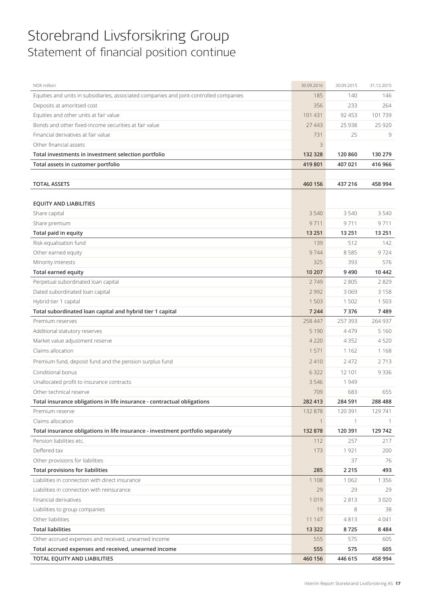### Storebrand Livsforsikring Group Statement of financial position continue

| NOK million                                                                             | 30.09.2016  | 30.09.2015 | 31.12.2015 |
|-----------------------------------------------------------------------------------------|-------------|------------|------------|
| Equities and units in subsidiaries, associated companies and joint-controlled companies | 185         | 140        | 146        |
| Deposits at amoritsed cost                                                              | 356         | 233        | 264        |
| Equities and other units at fair value                                                  | 101 431     | 92 453     | 101739     |
| Bonds and other fixed-income securities at fair value                                   | 27 443      | 25 9 38    | 25 9 20    |
| Financial derivatives at fair value                                                     | 731         | 25         | 9          |
| Other financial assets                                                                  | 3           |            |            |
| Total investments in investment selection portfolio                                     | 132 328     | 120 860    | 130 279    |
| Total assets in customer portfolio                                                      | 419 801     | 407 021    | 416 966    |
|                                                                                         |             |            |            |
| <b>TOTAL ASSETS</b>                                                                     | 460 156     | 437 216    | 458 994    |
|                                                                                         |             |            |            |
| <b>EQUITY AND LIABILITIES</b>                                                           |             |            |            |
| Share capital                                                                           | 3 5 4 0     | 3 5 4 0    | 3540       |
| Share premium                                                                           | 9711        | 9711       | 9711       |
| Total paid in equity                                                                    | 13 2 51     | 13 2 51    | 13 2 51    |
| Risk equalisation fund                                                                  | 139         | 512        | 142        |
| Other earned equity                                                                     | 9744        | 8585       | 9724       |
| Minority interests                                                                      | 325         | 393        | 576        |
| <b>Total earned equity</b>                                                              | 10 207      | 9490       | 10 4 42    |
| Perpetual subordinated loan capital                                                     | 2749        | 2 8 0 5    | 2829       |
| Dated subordinated loan capital                                                         | 2 9 9 2     | 3 0 6 9    | 3158       |
| Hybrid tier 1 capital                                                                   | 1 5 0 3     | 1 502      | 1503       |
| Total subordinated loan capital and hybrid tier 1 capital                               | 7 2 4 4     | 7376       | 7489       |
| Premium reserves                                                                        | 258 447     | 257 393    | 264 937    |
| Additional statutory reserves                                                           | 5 1 9 0     | 4479       | 5 1 6 0    |
| Market value adjustment reserve                                                         | 4 2 2 0     | 4 3 5 2    | 4520       |
| Claims allocation                                                                       | 1 5 7 1     | 1 1 6 2    | 1168       |
| Premium fund, deposit fund and the pension surplus fund                                 | 2410        | 2 4 7 2    | 2713       |
| Conditional bonus                                                                       | 6 3 2 2     | 12 101     | 9336       |
| Unallocated profit to insurance contracts                                               | 3 5 4 6     | 1949       |            |
| Other technical reserve                                                                 | 709         | 683        | 655        |
| Total insurance obligations in life insurance - contractual obligations                 | 282 413     | 284 591    | 288 488    |
| Premium reserve                                                                         | 132 878     | 120 391    | 129 741    |
| Claims allocation                                                                       | $\mathbf 1$ | 1          |            |
| Total insurance obligations in life insurance - investment portfolio separately         | 132 878     | 120 391    | 129 742    |
| Pension liabilities etc.                                                                | 112         | 257        | 217        |
| Deffered tax                                                                            | 173         | 1921       | 200        |
| Other provisions for liabilities                                                        |             | 37         | 76         |
| <b>Total provisions for liabilities</b>                                                 | 285         | 2 2 1 5    | 493        |
| Liabilities in connection with direct insurance                                         | 1 1 0 8     | 1 0 6 2    | 1 3 5 6    |
| Liabilities in connection with reinsurance                                              | 29          | 29         | 29         |
| Financial derivatives                                                                   | 1019        | 2813       | 3020       |
| Liabilities to group companies                                                          | 19          | 8          | 38         |
| Other liabilities                                                                       | 11 147      | 4813       | 4041       |
| <b>Total liabilities</b>                                                                | 13 3 22     | 8725       | 8484       |
| Other accrued expenses and received, unearned income                                    | 555         | 575        | 605        |
| Total accrued expenses and received, unearned income                                    | 555         | 575        | 605        |
| TOTAL EQUITY AND LIABILITIES                                                            | 460 156     | 446 615    | 458 994    |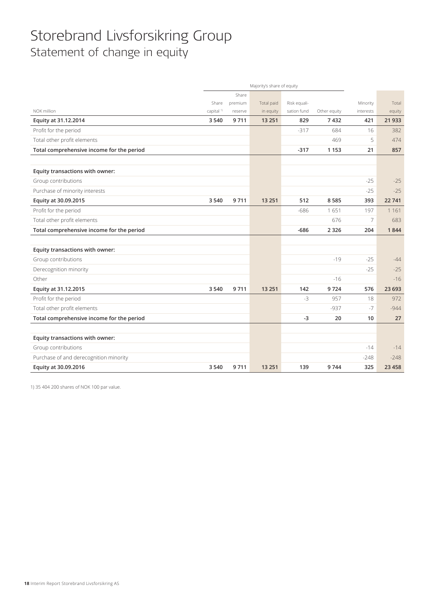### Storebrand Livsforsikring Group Statement of change in equity

|                                           | Majority's share of equity |         |            |              |              |                |         |
|-------------------------------------------|----------------------------|---------|------------|--------------|--------------|----------------|---------|
|                                           |                            | Share   |            |              |              |                |         |
|                                           | Share                      | premium | Total paid | Risk equali- |              | Minority       | Total   |
| NOK million                               | capital <sup>1)</sup>      | reserve | in equity  | sation fund  | Other equity | interests      | equity  |
| Equity at 31.12.2014                      | 3540                       | 9711    | 13 2 51    | 829          | 7432         | 421            | 21 9 33 |
| Profit for the period                     |                            |         |            | $-317$       | 684          | 16             | 382     |
| Total other profit elements               |                            |         |            |              | 469          | 5              | 474     |
| Total comprehensive income for the period |                            |         |            | $-317$       | 1 1 5 3      | 21             | 857     |
| Equity transactions with owner:           |                            |         |            |              |              |                |         |
| Group contributions                       |                            |         |            |              |              | $-25$          | $-25$   |
| Purchase of minority interests            |                            |         |            |              |              | $-25$          | $-25$   |
| Equity at 30.09.2015                      | 3 5 4 0                    | 9711    | 13 2 51    | 512          | 8585         | 393            | 22741   |
| Profit for the period                     |                            |         |            | $-686$       | 1651         | 197            | 1 1 6 1 |
| Total other profit elements               |                            |         |            |              | 676          | $\overline{7}$ | 683     |
| Total comprehensive income for the period |                            |         |            | $-686$       | 2 3 2 6      | 204            | 1844    |
|                                           |                            |         |            |              |              |                |         |
| Equity transactions with owner:           |                            |         |            |              |              |                |         |
| Group contributions                       |                            |         |            |              | $-19$        | $-25$          | $-44$   |
| Derecognition minority                    |                            |         |            |              |              | $-25$          | $-25$   |
| Other                                     |                            |         |            |              | $-16$        |                | $-16$   |
| Equity at 31.12.2015                      | 3 5 4 0                    | 9711    | 13 2 51    | 142          | 9724         | 576            | 23 693  |
| Profit for the period                     |                            |         |            | $-3$         | 957          | 18             | 972     |
| Total other profit elements               |                            |         |            |              | $-937$       | -7             | $-944$  |
| Total comprehensive income for the period |                            |         |            | $-3$         | 20           | 10             | 27      |
|                                           |                            |         |            |              |              |                |         |
| Equity transactions with owner:           |                            |         |            |              |              |                |         |
| Group contributions                       |                            |         |            |              |              | $-14$          | $-14$   |
| Purchase of and derecognition minority    |                            |         |            |              |              | $-248$         | $-248$  |
| Equity at 30.09.2016                      | 3 5 4 0                    | 9711    | 13 2 51    | 139          | 9744         | 325            | 23 4 58 |

1) 35 404 200 shares of NOK 100 par value.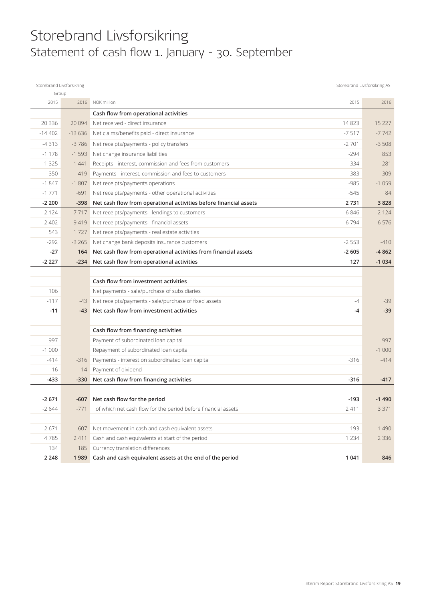### Storebrand Livsforsikring Statement of cash flow 1. January - 30. September

| Storebrand Livsforsikring<br>Group |          |                                                                   |         | Storebrand Livsforsikring AS |
|------------------------------------|----------|-------------------------------------------------------------------|---------|------------------------------|
| 2015                               | 2016     | NOK million                                                       | 2015    | 2016                         |
|                                    |          | Cash flow from operational activities                             |         |                              |
| 20 3 36                            | 20 0 94  | Net received - direct insurance                                   | 14823   | 15 2 27                      |
| $-14402$                           | $-13636$ | Net claims/benefits paid - direct insurance                       | $-7517$ | $-7742$                      |
| $-4313$                            | $-3786$  | Net receipts/payments - policy transfers                          | $-2701$ | $-3508$                      |
| $-1178$                            | $-1593$  | Net change insurance liabilities                                  | $-294$  | 853                          |
| 1 3 2 5                            | 1441     | Receipts - interest, commission and fees from customers           | 334     | 281                          |
| $-350$                             | $-419$   | Payments - interest, commission and fees to customers             | $-383$  | $-309$                       |
| $-1847$                            | $-1807$  | Net receipts/payments operations                                  | $-985$  | $-1059$                      |
| $-1771$                            | $-691$   | Net receipts/payments - other operational activities              | $-545$  | 84                           |
| $-2200$                            | $-398$   | Net cash flow from operational activities before financial assets | 2731    | 3828                         |
| 2 1 2 4                            | $-7717$  | Net receipts/payments - lendings to customers                     | $-6846$ | 2 1 2 4                      |
| $-2402$                            | 9419     | Net receipts/payments - financial assets                          | 6794    | $-6576$                      |
| 543                                | 1727     | Net receipts/payments - real estate activities                    |         |                              |
| $-292$                             | $-3265$  | Net change bank deposits insurance customers                      | $-2553$ | $-410$                       |
| $-27$                              | 164      | Net cash flow from operational activities from financial assets   | $-2605$ | $-4862$                      |
| $-2227$                            | $-234$   | Net cash flow from operational activities                         | 127     | $-1034$                      |
|                                    |          |                                                                   |         |                              |
|                                    |          | Cash flow from investment activities                              |         |                              |
| 106                                |          | Net payments - sale/purchase of subsidiaries                      |         |                              |
| $-117$                             | -43      | Net receipts/payments - sale/purchase of fixed assets             | $-4$    | $-39$                        |
| $-11$                              | $-43$    | Net cash flow from investment activities                          | $-4$    | $-39$                        |
|                                    |          |                                                                   |         |                              |
|                                    |          | Cash flow from financing activities                               |         |                              |
| 997                                |          | Payment of subordinated loan capital                              |         | 997                          |
| $-1000$                            |          | Repayment of subordinated loan capital                            |         | $-1000$                      |
| $-414$                             | $-316$   | Payments - interest on subordinated loan capital                  | $-316$  | $-414$                       |
| $-16$                              | $-14$    | Payment of dividend                                               |         |                              |
| -433                               | $-330$   | Net cash flow from financing activities                           | $-316$  | $-417$                       |
|                                    |          |                                                                   |         |                              |
| $-2671$                            |          | -607 Net cash flow for the period                                 | $-193$  | -1490                        |
| $-2644$                            | $-771$   | of which net cash flow for the period before financial assets     | 2411    | 3 3 7 1                      |
| $-2671$                            | $-607$   | Net movement in cash and cash equivalent assets                   | $-193$  | $-1490$                      |
| 4785                               | 2 4 1 1  | Cash and cash equivalents at start of the period                  | 1 2 3 4 | 2 3 3 6                      |
| 134                                | 185      | Currency translation differences                                  |         |                              |
| 2 2 4 8                            | 1989     | Cash and cash equivalent assets at the end of the period          | 1 0 4 1 | 846                          |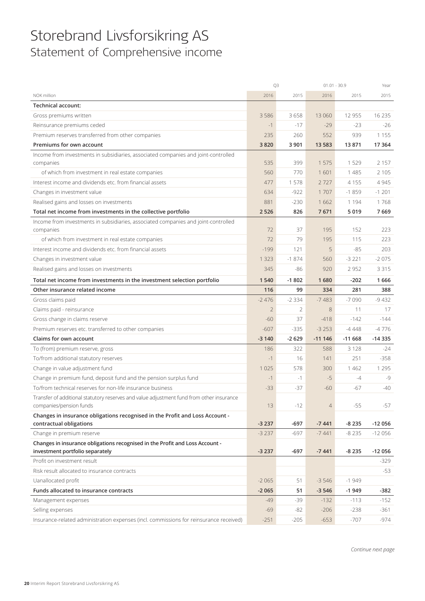### Storebrand Livsforsikring AS Statement of Comprehensive income

|                                                                                          | Q3                 |                 | $01.01 - 30.9$     |                    | Year     |
|------------------------------------------------------------------------------------------|--------------------|-----------------|--------------------|--------------------|----------|
| NOK million                                                                              | 2016               | 2015            | 2016               | 2015               | 2015     |
| <b>Technical account:</b>                                                                |                    |                 |                    |                    |          |
| Gross premiums written                                                                   | 3586               | 3658            | 13 060             | 12 9 55            | 16 2 35  |
| Reinsurance premiums ceded                                                               | $-1$               | $-17$           | $-29$              | $-23$              | $-26$    |
| Premium reserves transferred from other companies                                        | 235                | 260             | 552                | 939                | 1 1 5 5  |
| Premiums for own account                                                                 | 3820               | 3 9 0 1         | 13 5 83            | 13871              | 17 3 64  |
| Income from investments in subsidiaries, associated companies and joint-controlled       |                    |                 |                    |                    |          |
| companies                                                                                | 535                | 399             | 1575               | 1529               | 2 1 5 7  |
| of which from investment in real estate companies                                        | 560                | 770             | 1601               | 1 4 8 5            | 2 1 0 5  |
| Interest income and dividends etc. from financial assets                                 | 477                | 1578            | 2727               | 4 1 5 5            | 4 9 4 5  |
| Changes in investment value                                                              | 634                | $-922$          | 1707               | $-1859$            | $-1201$  |
| Realised gains and losses on investments                                                 | 881                | $-230$          | 1662               | 1 1 9 4            | 1768     |
| Total net income from investments in the collective portfolio                            | 2 5 2 6            | 826             | 7671               | 5019               | 7669     |
| Income from investments in subsidiaries, associated companies and joint-controlled       |                    |                 |                    |                    |          |
| companies                                                                                | 72                 | 37              | 195                | 152                | 223      |
| of which from investment in real estate companies                                        | 72                 | 79              | 195                | 115                | 223      |
| Interest income and dividends etc. from financial assets                                 | $-199$             | 121             | 5                  | $-85$              | 203      |
| Changes in investment value                                                              | 1 3 2 3            | $-1874$         | 560                | $-3221$            | $-2075$  |
| Realised gains and losses on investments                                                 | 345                | $-86$           | 920                | 2 9 5 2            | 3 3 1 5  |
| Total net income from investments in the investment selection portfolio                  | 1540               | $-1802$         | 1680               | $-202$             | 1666     |
| Other insurance related income                                                           | 116                | 99              | 334                | 281                | 388      |
| Gross claims paid                                                                        | $-2476$            | $-2334$         | $-7483$            | $-7090$            | $-9432$  |
| Claims paid - reinsurance                                                                | $\overline{2}$     | 2               | 8                  | 11                 | 17       |
| Gross change in claims reserve                                                           | $-60$              | 37              | $-418$             | $-142$             | $-144$   |
| Premium reserves etc. transferred to other companies                                     | $-607$             | $-335$          | $-3253$            | $-4448$            | $-4776$  |
| Claims for own account                                                                   | $-3140$            | $-2629$         | $-111146$          | $-11668$           | $-14335$ |
| To (from) premium reserve, gross                                                         | 186                | 322             | 588                | 3 1 2 8            | $-24$    |
| To/from additional statutory reserves                                                    | $-1$               | 16              | 141                | 251                | $-358$   |
| Change in value adjustment fund                                                          | 1 0 2 5            | 578             | 300                | 1 4 6 2            | 1 2 9 5  |
| Change in premium fund, deposit fund and the pension surplus fund                        | $-1$               | $-1$            | $-5$               | $-4$               | $-9$     |
| To/from technical reserves for non-life insurance business                               | $-33$              | $-37$           | $-60$              | -67                | $-40$    |
| Transfer of additional statutory reserves and value adjustment fund from other insurance |                    |                 |                    |                    |          |
| companies/pension funds                                                                  | 13                 | $-12$           | $\overline{4}$     | $-55$              | $-57$    |
| Changes in insurance obligations recognised in the Profit and Loss Account -             |                    |                 |                    |                    |          |
| contractual obligations                                                                  | $-3237$            | -697            | $-7441$            | $-8235$            | $-12056$ |
| Change in premium reserve                                                                | $-3237$            | $-697$          | $-7441$            | $-8235$            | $-12056$ |
| Changes in insurance obligations recognised in the Profit and Loss Account -             |                    | $-697$          |                    |                    | $-12056$ |
| investment portfolio separately<br>Profit on investment result                           | $-3237$            |                 | $-7441$            | $-8235$            | $-329$   |
|                                                                                          |                    |                 |                    |                    |          |
| Risk result allocated to insurance contracts                                             |                    |                 |                    |                    | $-53$    |
| Uanallocated profit<br>Funds allocated to insurance contracts                            | $-2065$<br>$-2065$ | 51              | $-3546$<br>$-3546$ | $-1949$<br>$-1949$ |          |
|                                                                                          |                    | 51              |                    |                    | $-382$   |
| Management expenses                                                                      | $-49$              | $-39$           | $-132$             | $-113$             | $-152$   |
| Selling expenses                                                                         | $-69$              | $-82$<br>$-205$ | $-206$<br>$-653$   | $-238$<br>$-707$   | $-361$   |
| Insurance-related administration expenses (incl. commissions for reinsurance received)   | $-251$             |                 |                    |                    | -974     |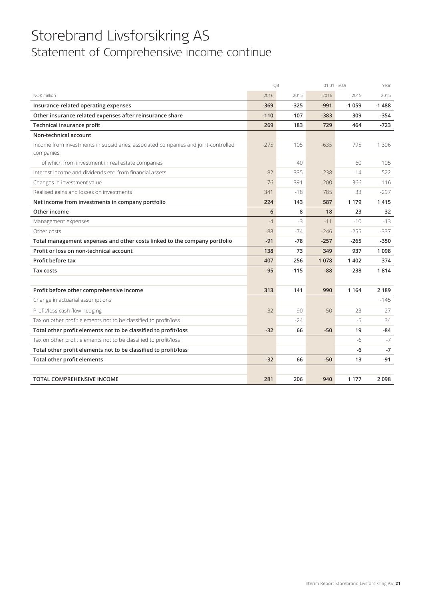### Storebrand Livsforsikring AS Statement of Comprehensive income continue

|                                                                                                 | Q3     |        | $01.01 - 30.9$ |         | Year    |
|-------------------------------------------------------------------------------------------------|--------|--------|----------------|---------|---------|
| NOK million                                                                                     | 2016   | 2015   | 2016           | 2015    | 2015    |
| Insurance-related operating expenses                                                            | $-369$ | $-325$ | $-991$         | $-1059$ | $-1488$ |
| Other insurance related expenses after reinsurance share                                        | $-110$ | $-107$ | $-383$         | $-309$  | -354    |
| Technical insurance profit                                                                      | 269    | 183    | 729            | 464     | $-723$  |
| Non-technical account                                                                           |        |        |                |         |         |
| Income from investments in subsidiaries, associated companies and joint-controlled<br>companies | $-275$ | 105    | $-635$         | 795     | 1 3 0 6 |
| of which from investment in real estate companies                                               |        | 40     |                | 60      | 105     |
| Interest income and dividends etc. from financial assets                                        | 82     | $-335$ | 238            | $-14$   | 522     |
| Changes in investment value                                                                     | 76     | 391    | 200            | 366     | $-116$  |
| Realised gains and losses on investments                                                        | 341    | $-18$  | 785            | 33      | $-297$  |
| Net income from investments in company portfolio                                                | 224    | 143    | 587            | 1 1 7 9 | 1415    |
| Other income                                                                                    | 6      | 8      | 18             | 23      | 32      |
| Management expenses                                                                             | $-4$   | $-3$   | $-11$          | $-10$   | $-13$   |
| Other costs                                                                                     | $-88$  | $-74$  | $-246$         | $-255$  | $-337$  |
| Total management expenses and other costs linked to the company portfolio                       | $-91$  | -78    | $-257$         | $-265$  | $-350$  |
| Profit or loss on non-technical account                                                         | 138    | 73     | 349            | 937     | 1098    |
| Profit before tax                                                                               | 407    | 256    | 1078           | 1402    | 374     |
| <b>Tax costs</b>                                                                                | $-95$  | $-115$ | $-88$          | $-238$  | 1814    |
|                                                                                                 |        |        |                |         |         |
| Profit before other comprehensive income                                                        | 313    | 141    | 990            | 1 1 6 4 | 2 1 8 9 |
| Change in actuarial assumptions                                                                 |        |        |                |         | $-145$  |
| Profit/loss cash flow hedging                                                                   | $-32$  | 90     | $-50$          | 23      | 27      |
| Tax on other profit elements not to be classified to profit/loss                                |        | $-24$  |                | $-5$    | 34      |
| Total other profit elements not to be classified to profit/loss                                 | $-32$  | 66     | $-50$          | 19      | $-84$   |
| Tax on other profit elements not to be classified to profit/loss                                |        |        |                | $-6$    | $-7$    |
| Total other profit elements not to be classified to profit/loss                                 |        |        |                | -6      | $-7$    |
| Total other profit elements                                                                     | $-32$  | 66     | $-50$          | 13      | $-91$   |
|                                                                                                 |        |        |                |         |         |
| <b>TOTAL COMPREHENSIVE INCOME</b>                                                               | 281    | 206    | 940            | 1 1 7 7 | 2098    |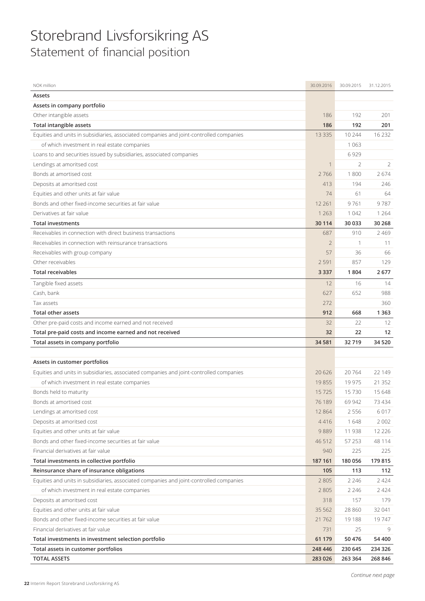### Storebrand Livsforsikring AS Statement of financial position

| NOK million                                                                             | 30.09.2016     | 30.09.2015     | 31.12.2015 |
|-----------------------------------------------------------------------------------------|----------------|----------------|------------|
| Assets                                                                                  |                |                |            |
| Assets in company portfolio                                                             |                |                |            |
| Other intangible assets                                                                 | 186            | 192            | 201        |
| Total intangible assets                                                                 | 186            | 192            | 201        |
| Equities and units in subsidiaries, associated companies and joint-controlled companies | 13 3 3 5       | 10 244         | 16 2 32    |
| of which investment in real estate companies                                            |                | 1 0 6 3        |            |
| Loans to and securities issued by subsidiaries, associated companies                    |                | 6929           |            |
| Lendings at amoritsed cost                                                              |                | $\overline{2}$ | 2          |
| Bonds at amortised cost                                                                 | 2766           | 1800           | 2674       |
| Deposits at amoritsed cost                                                              | 413            | 194            | 246        |
| Equities and other units at fair value                                                  | 74             | 61             | 64         |
| Bonds and other fixed-income securities at fair value                                   | 12 2 61        | 9761           | 9787       |
| Derivatives at fair value                                                               | 1 2 6 3        | 1 0 4 2        | 1 2 6 4    |
| <b>Total investments</b>                                                                | 30 1 14        | 30 033         | 30 268     |
| Receivables in connection with direct business transactions                             | 687            | 910            | 2 4 6 9    |
| Receivables in connection with reinsurance transactions                                 | $\overline{2}$ | $\mathbf{1}$   | 11         |
| Receivables with group company                                                          | 57             | 36             | 66         |
| Other receivables                                                                       | 2 5 9 1        | 857            | 129        |
| <b>Total receivables</b>                                                                | 3 3 3 7        | 1804           | 2677       |
| Tangible fixed assets                                                                   | 12             | 16             | 14         |
| Cash, bank                                                                              | 627            | 652            | 988        |
| Tax assets                                                                              | 272            |                | 360        |
| <b>Total other assets</b>                                                               | 912            | 668            | 1 3 6 3    |
| Other pre-paid costs and income earned and not received                                 | 32             | 22             | 12         |
| Total pre-paid costs and income earned and not received                                 | 32             | 22             | 12         |
| Total assets in company portfolio                                                       | 34 5 81        | 32719          | 34 5 20    |
|                                                                                         |                |                |            |
| Assets in customer portfolios                                                           |                |                |            |
| Equities and units in subsidiaries, associated companies and joint-controlled companies | 20 6 26        | 20764          | 22 149     |
| of which investment in real estate companies                                            | 19855          | 19 975         | 21 3 5 2   |
| Bonds held to maturity                                                                  | 15725          | 15730          | 15 648     |
| Bonds at amortised cost                                                                 | 76 189         | 69 942         | 73 434     |
| Lendings at amoritsed cost                                                              | 12864          | 2 5 5 6        | 6017       |
| Deposits at amoritsed cost                                                              | 4416           | 1648           | 2 0 0 2    |
| Equities and other units at fair value                                                  | 9889           | 11 938         | 12 2 2 6   |
| Bonds and other fixed-income securities at fair value                                   | 46 512         | 57 253         | 48 114     |
| Financial derivatives at fair value                                                     | 940            | 225            | 225        |
| Total investments in collective portfolio                                               | 187 161        | 180 056        | 179 815    |
| Reinsurance share of insurance obligations                                              | 105            | 113            | 112        |
| Equities and units in subsidiaries, associated companies and joint-controlled companies | 2 8 0 5        | 2 2 4 6        | 2424       |
| of which investment in real estate companies                                            | 2 8 0 5        | 2 2 4 6        | 2 4 2 4    |
| Deposits at amoritsed cost                                                              | 318            | 157            | 179        |
| Equities and other units at fair value                                                  | 35 5 62        | 28 860         | 32 041     |
| Bonds and other fixed-income securities at fair value                                   | 21762          | 19 188         | 19747      |
| Financial derivatives at fair value                                                     | 731            | 25             | 9          |
| Total investments in investment selection portfolio                                     | 61 179         | 50 476         | 54 400     |
| Total assets in customer portfolios                                                     | 248 446        | 230 645        | 234 326    |
| <b>TOTAL ASSETS</b>                                                                     | 283 026        | 263 364        | 268 846    |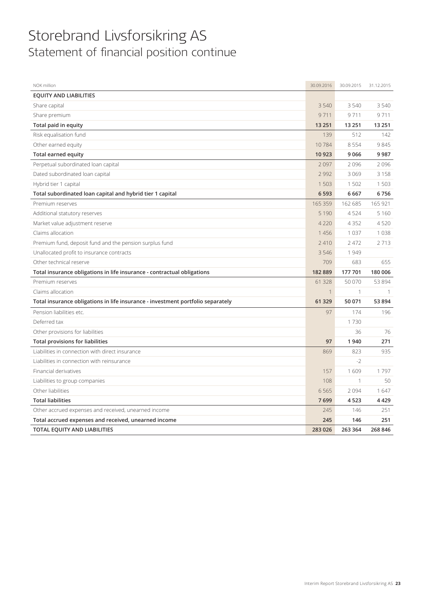### Storebrand Livsforsikring AS Statement of financial position continue

| NOK million                                                                     | 30.09.2016   | 30.09.2015   | 31.12.2015   |
|---------------------------------------------------------------------------------|--------------|--------------|--------------|
| <b>EQUITY AND LIABILITIES</b>                                                   |              |              |              |
| Share capital                                                                   | 3540         | 3 5 4 0      | 3 5 4 0      |
| Share premium                                                                   | 9711         | 9711         | 9711         |
| Total paid in equity                                                            | 13 2 51      | 13 251       | 13 2 51      |
| Risk equalisation fund                                                          | 139          | 512          | 142          |
| Other earned equity                                                             | 10784        | 8 5 5 4      | 9845         |
| <b>Total earned equity</b>                                                      | 10923        | 9066         | 9987         |
| Perpetual subordinated loan capital                                             | 2097         | 2096         | 2096         |
| Dated subordinated loan capital                                                 | 2992         | 3069         | 3 1 5 8      |
| Hybrid tier 1 capital                                                           | 1503         | 1 502        | 1 503        |
| Total subordinated loan capital and hybrid tier 1 capital                       | 6593         | 6 6 6 7      | 6756         |
| Premium reserves                                                                | 165 359      | 162 685      | 165 921      |
| Additional statutory reserves                                                   | 5 1 9 0      | 4524         | 5 1 6 0      |
| Market value adjustment reserve                                                 | 4 2 2 0      | 4352         | 4520         |
| Claims allocation                                                               | 1456         | 1 0 3 7      | 1 0 3 8      |
| Premium fund, deposit fund and the pension surplus fund                         | 2410         | 2 4 7 2      | 2713         |
| Unallocated profit to insurance contracts                                       | 3546         | 1949         |              |
| Other technical reserve                                                         | 709          | 683          | 655          |
| Total insurance obligations in life insurance - contractual obligations         | 182889       | 177 701      | 180 006      |
| Premium reserves                                                                | 61 3 28      | 50 070       | 53 894       |
| Claims allocation                                                               | $\mathbf{1}$ | $\mathbf{1}$ | $\mathbf{1}$ |
| Total insurance obligations in life insurance - investment portfolio separately | 61 329       | 50 071       | 53 894       |
| Pension liabilities etc.                                                        | 97           | 174          | 196          |
| Deferred tax                                                                    |              | 1730         |              |
| Other provisions for liabilities                                                |              | 36           | 76           |
| <b>Total provisions for liabilities</b>                                         | 97           | 1940         | 271          |
| Liabilities in connection with direct insurance                                 | 869          | 823          | 935          |
| Liabilities in connection with reinsurance                                      |              | $-2$         |              |
| Financial derivatives                                                           | 157          | 1609         | 1797         |
| Liabilities to group companies                                                  | 108          | $\mathbf{1}$ | 50           |
| Other liabilities                                                               | 6565         | 2094         | 1647         |
| <b>Total liabilities</b>                                                        | 7699         | 4523         | 4 4 2 9      |
| Other accrued expenses and received, unearned income                            | 245          | 146          | 251          |
| Total accrued expenses and received, unearned income                            | 245          | 146          | 251          |
| TOTAL EQUITY AND LIABILITIES                                                    | 283 026      | 263 364      | 268 846      |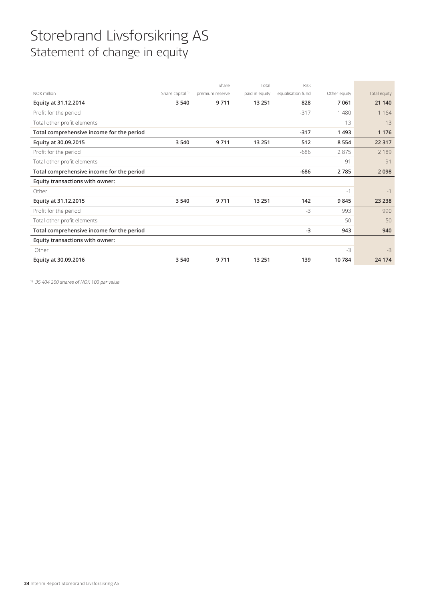## Storebrand Livsforsikring AS Statement of change in equity

|                                           |                             | Share           | Total          | Risk              |              |              |
|-------------------------------------------|-----------------------------|-----------------|----------------|-------------------|--------------|--------------|
| NOK million                               | Share capital <sup>1)</sup> | premium reserve | paid in equity | equalisation fund | Other equity | Total equity |
| Equity at 31.12.2014                      | 3 5 4 0                     | 9711            | 13 2 51        | 828               | 7061         | 21 140       |
| Profit for the period                     |                             |                 |                | $-317$            | 1480         | 1 1 6 4      |
| Total other profit elements               |                             |                 |                |                   | 13           | 13           |
| Total comprehensive income for the period |                             |                 |                | $-317$            | 1493         | 1 1 7 6      |
| Equity at 30.09.2015                      | 3 5 4 0                     | 9711            | 13 2 51        | 512               | 8 5 5 4      | 22 3 1 7     |
| Profit for the period                     |                             |                 |                | $-686$            | 2875         | 2 1 8 9      |
| Total other profit elements               |                             |                 |                |                   | $-91$        | $-91$        |
| Total comprehensive income for the period |                             |                 |                | $-686$            | 2785         | 2098         |
| Equity transactions with owner:           |                             |                 |                |                   |              |              |
| Other                                     |                             |                 |                |                   | $-1$         | $-1$         |
| Equity at 31.12.2015                      | 3 5 4 0                     | 9711            | 13 2 51        | 142               | 9845         | 23 2 38      |
| Profit for the period                     |                             |                 |                | $-3$              | 993          | 990          |
| Total other profit elements               |                             |                 |                |                   | $-50$        | $-50$        |
| Total comprehensive income for the period |                             |                 |                | $-3$              | 943          | 940          |
| Equity transactions with owner:           |                             |                 |                |                   |              |              |
| Other                                     |                             |                 |                |                   | $-3$         | $-3$         |
| Equity at 30.09.2016                      | 3540                        | 9711            | 13 2 51        | 139               | 10784        | 24 1 74      |
|                                           |                             |                 |                |                   |              |              |

1) 35 404 200 shares of NOK 100 par value.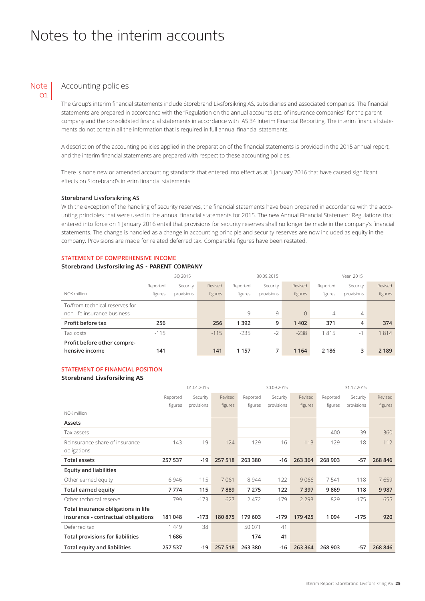### Notes to the interim accounts

#### Accounting policies **Note** 01

The Group's interim financial statements include Storebrand Livsforsikring AS, subsidiaries and associated companies. The financial statements are prepared in accordance with the "Regulation on the annual accounts etc. of insurance companies" for the parent company and the consolidated financial statements in accordance with IAS 34 Interim Financial Reporting. The interim financial statements do not contain all the information that is required in full annual financial statements.

A description of the accounting policies applied in the preparation of the financial statements is provided in the 2015 annual report, and the interim financial statements are prepared with respect to these accounting policies.

There is none new or amended accounting standards that entered into effect as at 1 January 2016 that have caused significant effects on Storebrand's interim financial statements.

### **Storebrand Livsforsikring AS**

With the exception of the handling of security reserves, the financial statements have been prepared in accordance with the accounting principles that were used in the annual financial statements for 2015. The new Annual Financial Statement Regulations that entered into force on 1 January 2016 entail that provisions for security reserves shall no longer be made in the company's financial statements. The change is handled as a change in accounting principle and security reserves are now included as equity in the company. Provisions are made for related deferred tax. Comparable figures have been restated.

### **STATEMENT OF COMPREHENSIVE INCOME**

### **Storebrand Livsforsikring AS - PARENT COMPANY**

|                                                               | 30 2015             |                        |                    |                     | 30.09.2015             |                    | Year 2015           |                        |                    |
|---------------------------------------------------------------|---------------------|------------------------|--------------------|---------------------|------------------------|--------------------|---------------------|------------------------|--------------------|
| NOK million                                                   | Reported<br>figures | Security<br>provisions | Revised<br>figures | Reported<br>figures | Security<br>provisions | Revised<br>figures | Reported<br>figures | Security<br>provisions | Revised<br>figures |
|                                                               |                     |                        |                    |                     |                        |                    |                     |                        |                    |
| To/from technical reserves for<br>non-life insurance business |                     |                        |                    | $-9$                | 9                      | $\Omega$           | $-4$                | $\overline{4}$         |                    |
| Profit before tax                                             | 256                 |                        | 256                | 1392                | 9                      | 1402               | 371                 | 4                      | 374                |
| Tax costs                                                     | $-115$              |                        | $-115$             | $-235$              | $-2$                   | $-238$             | 1815                | $-1$                   | 1814               |
| Profit before other compre-                                   |                     |                        |                    |                     |                        |                    |                     |                        |                    |
| hensive income                                                | 141                 |                        | 141                | 1 1 5 7             | 7                      | 1 1 6 4            | 2 1 8 6             | 3                      | 2 1 8 9            |

### **STATEMENT OF FINANCIAL POSITION**

#### **Storebrand Livsforsikring AS**

|                                         |          | 01.01.2015 | 30.09.2015 |          |            |         | 31.12.2015 |            |         |
|-----------------------------------------|----------|------------|------------|----------|------------|---------|------------|------------|---------|
|                                         | Reported | Security   | Revised    | Reported | Security   | Revised | Reported   | Security   | Revised |
|                                         | figures  | provisions | figures    | figures  | provisions | figures | figures    | provisions | figures |
| NOK million                             |          |            |            |          |            |         |            |            |         |
| Assets                                  |          |            |            |          |            |         |            |            |         |
| Tax assets                              |          |            |            |          |            |         | 400        | $-39$      | 360     |
| Reinsurance share of insurance          | 143      | $-19$      | 124        | 129      | $-16$      | 113     | 129        | $-18$      | 112     |
| obligations                             |          |            |            |          |            |         |            |            |         |
| <b>Total assets</b>                     | 257 537  | $-19$      | 257 518    | 263 380  | $-16$      | 263 364 | 268 903    | $-57$      | 268 846 |
| <b>Equity and liabilities</b>           |          |            |            |          |            |         |            |            |         |
| Other earned equity                     | 6946     | 115        | 7061       | 8 9 4 4  | 122        | 9066    | 7541       | 118        | 7659    |
| Total earned equity                     | 7774     | 115        | 7889       | 7 2 7 5  | 122        | 7 3 9 7 | 9869       | 118        | 9987    |
| Other technical reserve                 | 799      | $-173$     | 627        | 2 4 7 2  | $-179$     | 2 2 9 3 | 829        | $-175$     | 655     |
| Total insurance obligations in life     |          |            |            |          |            |         |            |            |         |
| insurance - contractual obligations     | 181 048  | $-173$     | 180 875    | 179 603  | $-179$     | 179 425 | 1 0 9 4    | $-175$     | 920     |
| Deferred tax                            | 1449     | 38         |            | 50 071   | 41         |         |            |            |         |
| <b>Total provisions for liabilities</b> | 1686     |            |            | 174      | 41         |         |            |            |         |
| Total equity and liabilities            | 257 537  | $-19$      | 257 518    | 263 380  | $-16$      | 263 364 | 268 903    | $-57$      | 268 846 |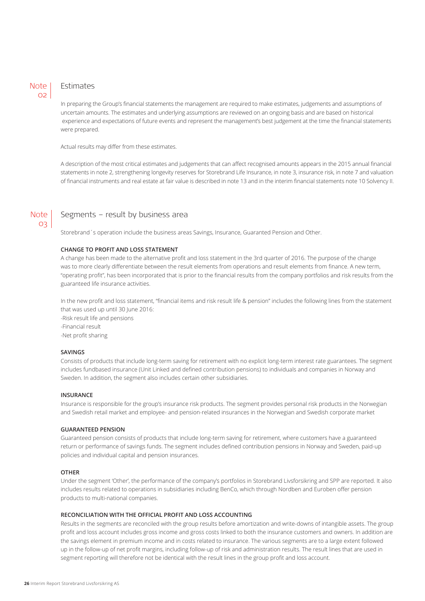### Note  $\Omega$

Note  $O<sup>2</sup>$ 

### Estimates

In preparing the Group's financial statements the management are required to make estimates, judgements and assumptions of uncertain amounts. The estimates and underlying assumptions are reviewed on an ongoing basis and are based on historical experience and expectations of future events and represent the management's best judgement at the time the financial statements were prepared.

Actual results may differ from these estimates.

A description of the most critical estimates and judgements that can affect recognised amounts appears in the 2015 annual financial statements in note 2, strengthening longevity reserves for Storebrand Life Insurance, in note 3, insurance risk, in note 7 and valuation of financial instruments and real estate at fair value is described in note 13 and in the interim financial statements note 10 Solvency II.

### Segments – result by business area

Storebrand´s operation include the business areas Savings, Insurance, Guaranted Pension and Other.

### **CHANGE TO PROFIT AND LOSS STATEMENT**

A change has been made to the alternative profit and loss statement in the 3rd quarter of 2016. The purpose of the change was to more clearly differentiate between the result elements from operations and result elements from finance. A new term, "operating profit", has been incorporated that is prior to the financial results from the company portfolios and risk results from the guaranteed life insurance activities.

In the new profit and loss statement, "financial items and risk result life & pension" includes the following lines from the statement that was used up until 30 June 2016:

-Risk result life and pensions

-Financial result

-Net profit sharing

### **SAVINGS**

Consists of products that include long-term saving for retirement with no explicit long-term interest rate guarantees. The segment includes fundbased insurance (Unit Linked and defined contribution pensions) to individuals and companies in Norway and Sweden. In addition, the segment also includes certain other subsidiaries.

### **INSURANCE**

Insurance is responsible for the group's insurance risk products. The segment provides personal risk products in the Norwegian and Swedish retail market and employee- and pension-related insurances in the Norwegian and Swedish corporate market

### **GUARANTEED PENSION**

Guaranteed pension consists of products that include long-term saving for retirement, where customers have a guaranteed return or performance of savings funds. The segment includes defined contribution pensions in Norway and Sweden, paid-up policies and individual capital and pension insurances.

### **OTHER**

Under the segment 'Other', the performance of the company's portfolios in Storebrand Livsforsikring and SPP are reported. It also includes results related to operations in subsidiaries including BenCo, which through Nordben and Euroben offer pension products to multi-national companies.

### **RECONCILIATION WITH THE OFFICIAL PROFIT AND LOSS ACCOUNTING**

Results in the segments are reconciled with the group results before amortization and write-downs of intangible assets. The group profit and loss account includes gross income and gross costs linked to both the insurance customers and owners. In addition are the savings element in premium income and in costs related to insurance. The various segments are to a large extent followed up in the follow-up of net profit margins, including follow-up of risk and administration results. The result lines that are used in segment reporting will therefore not be identical with the result lines in the group profit and loss account.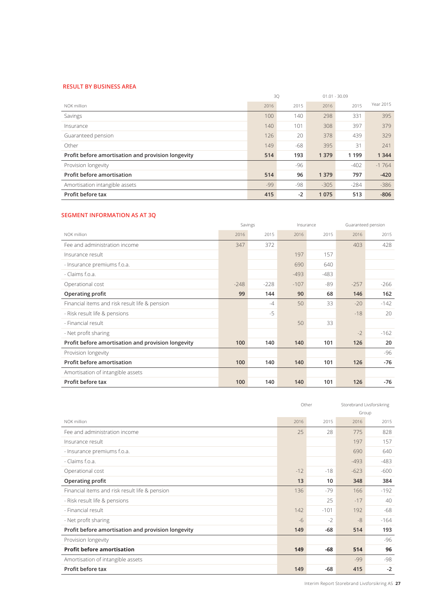### **RESULT BY BUSINESS AREA**

|                                                    | 30    |      |         | $01.01 - 30.09$ |           |
|----------------------------------------------------|-------|------|---------|-----------------|-----------|
| NOK million                                        | 2016  | 2015 | 2016    | 2015            | Year 2015 |
| Savings                                            | 100   | 140  | 298     | 331             | 395       |
| Insurance                                          | 140   | 101  | 308     | 397             | 379       |
| Guaranteed pension                                 | 126   | 20   | 378     | 439             | 329       |
| Other                                              | 149   | -68  | 395     | 31              | 241       |
| Profit before amortisation and provision longevity | 514   | 193  | 1 3 7 9 | 1 1 9 9         | 1 3 4 4   |
| Provision longevity                                |       | -96  |         | $-402$          | $-1764$   |
| Profit before amortisation                         | 514   | 96   | 1 3 7 9 | 797             | $-420$    |
| Amortisation intangible assets                     | $-99$ | -98  | $-305$  | $-284$          | $-386$    |
| Profit before tax                                  | 415   | $-2$ | 1075    | 513             | $-806$    |

### **SEGMENT INFORMATION AS AT 3Q**

|                                                    |        | Savings |        | Insurance |        | Guaranteed pension |
|----------------------------------------------------|--------|---------|--------|-----------|--------|--------------------|
| NOK million                                        | 2016   | 2015    | 2016   | 2015      | 2016   | 2015               |
| Fee and administration income                      | 347    | 372     |        |           | 403    | 428                |
| Insurance result                                   |        |         | 197    | 157       |        |                    |
| - Insurance premiums f.o.a.                        |        |         | 690    | 640       |        |                    |
| - Claims f.o.a.                                    |        |         | $-493$ | $-483$    |        |                    |
| Operational cost                                   | $-248$ | $-228$  | $-107$ | -89       | $-257$ | $-266$             |
| Operating profit                                   | 99     | 144     | 90     | 68        | 146    | 162                |
| Financial items and risk result life & pension     |        | $-4$    | 50     | 33        | $-20$  | $-142$             |
| - Risk result life & pensions                      |        | $-5$    |        |           | $-18$  | 20                 |
| - Financial result                                 |        |         | 50     | 33        |        |                    |
| - Net profit sharing                               |        |         |        |           | $-2$   | $-162$             |
| Profit before amortisation and provision longevity | 100    | 140     | 140    | 101       | 126    | 20                 |
| Provision longevity                                |        |         |        |           |        | -96                |
| Profit before amortisation                         | 100    | 140     | 140    | 101       | 126    | $-76$              |
| Amortisation of intangible assets                  |        |         |        |           |        |                    |
| Profit before tax                                  | 100    | 140     | 140    | 101       | 126    | -76                |

|                                                    |       | Other  | Storebrand Livsforsikring |        |
|----------------------------------------------------|-------|--------|---------------------------|--------|
|                                                    |       |        |                           | Group  |
| NOK million                                        | 2016  | 2015   | 2016                      | 2015   |
| Fee and administration income                      | 25    | 28     | 775                       | 828    |
| Insurance result                                   |       |        | 197                       | 157    |
| - Insurance premiums f.o.a.                        |       |        | 690                       | 640    |
| - Claims f.o.a.                                    |       |        | $-493$                    | $-483$ |
| Operational cost                                   | $-12$ | $-18$  | $-623$                    | $-600$ |
| Operating profit                                   | 13    | 10     | 348                       | 384    |
| Financial items and risk result life & pension     | 136   | $-79$  | 166                       | $-192$ |
| - Risk result life & pensions                      |       | 25     | $-17$                     | 40     |
| - Financial result                                 | 142   | $-101$ | 192                       | -68    |
| - Net profit sharing                               | $-6$  | $-2$   | $-8$                      | $-164$ |
| Profit before amortisation and provision longevity | 149   | $-68$  | 514                       | 193    |
| Provision longevity                                |       |        |                           | -96    |
| <b>Profit before amortisation</b>                  | 149   | $-68$  | 514                       | 96     |
| Amortisation of intangible assets                  |       |        | $-99$                     | -98    |
| Profit before tax                                  | 149   | $-68$  | 415                       | $-2$   |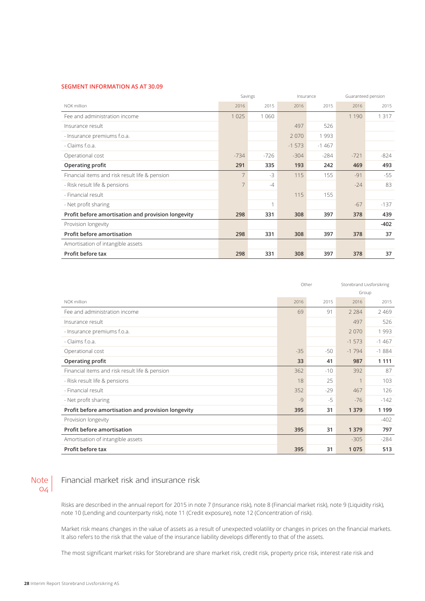### **SEGMENT INFORMATION AS AT 30.09**

|                                                    |                | Savings<br>Insurance |         |         | Guaranteed pension |         |  |
|----------------------------------------------------|----------------|----------------------|---------|---------|--------------------|---------|--|
| NOK million                                        | 2016           | 2015                 | 2016    | 2015    | 2016               | 2015    |  |
| Fee and administration income                      | 1 0 2 5        | 1 0 6 0              |         |         | 1 1 9 0            | 1 3 1 7 |  |
| Insurance result                                   |                |                      | 497     | 526     |                    |         |  |
| - Insurance premiums f.o.a.                        |                |                      | 2070    | 1993    |                    |         |  |
| - Claims f.o.a.                                    |                |                      | $-1573$ | $-1467$ |                    |         |  |
| Operational cost                                   | $-734$         | $-726$               | $-304$  | $-284$  | $-721$             | $-824$  |  |
| Operating profit                                   | 291            | 335                  | 193     | 242     | 469                | 493     |  |
| Financial items and risk result life & pension     | $\overline{7}$ | $-3$                 | 115     | 155     | $-91$              | $-55$   |  |
| - Risk result life & pensions                      | $\overline{7}$ | $-4$                 |         |         | $-24$              | 83      |  |
| - Financial result                                 |                |                      | 115     | 155     |                    |         |  |
| - Net profit sharing                               |                | 1                    |         |         | $-67$              | $-137$  |  |
| Profit before amortisation and provision longevity | 298            | 331                  | 308     | 397     | 378                | 439     |  |
| Provision longevity                                |                |                      |         |         |                    | $-402$  |  |
| <b>Profit before amortisation</b>                  | 298            | 331                  | 308     | 397     | 378                | 37      |  |
| Amortisation of intangible assets                  |                |                      |         |         |                    |         |  |
| Profit before tax                                  | 298            | 331                  | 308     | 397     | 378                | 37      |  |

|                                                    |       | Other | Storebrand Livsforsikring |         |
|----------------------------------------------------|-------|-------|---------------------------|---------|
|                                                    |       |       |                           | Group   |
| NOK million                                        | 2016  | 2015  | 2016                      | 2015    |
| Fee and administration income                      | 69    | 91    | 2 2 8 4                   | 2469    |
| Insurance result                                   |       |       | 497                       | 526     |
| - Insurance premiums f.o.a.                        |       |       | 2070                      | 1993    |
| - Claims f.o.a.                                    |       |       | $-1573$                   | $-1467$ |
| Operational cost                                   | $-35$ | $-50$ | $-1794$                   | $-1884$ |
| <b>Operating profit</b>                            | 33    | 41    | 987                       | 1 1 1 1 |
| Financial items and risk result life & pension     | 362   | $-10$ | 392                       | 87      |
| - Risk result life & pensions                      | 18    | 25    | 1                         | 103     |
| - Financial result                                 | 352   | $-29$ | 467                       | 126     |
| - Net profit sharing                               | $-9$  | $-5$  | $-76$                     | $-142$  |
| Profit before amortisation and provision longevity | 395   | 31    | 1 3 7 9                   | 1 1 9 9 |
| Provision longevity                                |       |       |                           | $-402$  |
| Profit before amortisation                         | 395   | 31    | 1 3 7 9                   | 797     |
| Amortisation of intangible assets                  |       |       | $-305$                    | $-284$  |
| Profit before tax                                  | 395   | 31    | 1 0 7 5                   | 513     |

### Note  $O(4)$

### Financial market risk and insurance risk

Risks are described in the annual report for 2015 in note 7 (Insurance risk), note 8 (Financial market risk), note 9 (Liquidity risk), note 10 (Lending and counterparty risk), note 11 (Credit exposure), note 12 (Concentration of risk).

Market risk means changes in the value of assets as a result of unexpected volatility or changes in prices on the financial markets. It also refers to the risk that the value of the insurance liability develops differently to that of the assets.

The most significant market risks for Storebrand are share market risk, credit risk, property price risk, interest rate risk and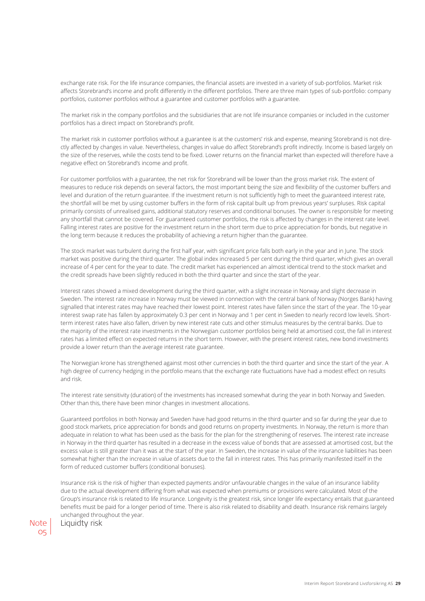exchange rate risk. For the life insurance companies, the financial assets are invested in a variety of sub-portfolios. Market risk affects Storebrand's income and profit differently in the different portfolios. There are three main types of sub-portfolio: company portfolios, customer portfolios without a guarantee and customer portfolios with a guarantee.

The market risk in the company portfolios and the subsidiaries that are not life insurance companies or included in the customer portfolios has a direct impact on Storebrand's profit.

The market risk in customer portfolios without a guarantee is at the customers' risk and expense, meaning Storebrand is not directly affected by changes in value. Nevertheless, changes in value do affect Storebrand's profit indirectly. Income is based largely on the size of the reserves, while the costs tend to be fixed. Lower returns on the financial market than expected will therefore have a negative effect on Storebrand's income and profit.

For customer portfolios with a guarantee, the net risk for Storebrand will be lower than the gross market risk. The extent of measures to reduce risk depends on several factors, the most important being the size and flexibility of the customer buffers and level and duration of the return guarantee. If the investment return is not sufficiently high to meet the guaranteed interest rate, the shortfall will be met by using customer buffers in the form of risk capital built up from previous years' surpluses. Risk capital primarily consists of unrealised gains, additional statutory reserves and conditional bonuses. The owner is responsible for meeting any shortfall that cannot be covered. For guaranteed customer portfolios, the risk is affected by changes in the interest rate level. Falling interest rates are positive for the investment return in the short term due to price appreciation for bonds, but negative in the long term because it reduces the probability of achieving a return higher than the guarantee.

The stock market was turbulent during the first half year, with significant price falls both early in the year and in June. The stock market was positive during the third quarter. The global index increased 5 per cent during the third quarter, which gives an overall increase of 4 per cent for the year to date. The credit market has experienced an almost identical trend to the stock market and the credit spreads have been slightly reduced in both the third quarter and since the start of the year.

Interest rates showed a mixed development during the third quarter, with a slight increase in Norway and slight decrease in Sweden. The interest rate increase in Norway must be viewed in connection with the central bank of Norway (Norges Bank) having signalled that interest rates may have reached their lowest point. Interest rates have fallen since the start of the year. The 10-year interest swap rate has fallen by approximately 0.3 per cent in Norway and 1 per cent in Sweden to nearly record low levels. Shortterm interest rates have also fallen, driven by new interest rate cuts and other stimulus measures by the central banks. Due to the majority of the interest rate investments in the Norwegian customer portfolios being held at amortised cost, the fall in interest rates has a limited effect on expected returns in the short term. However, with the present interest rates, new bond investments provide a lower return than the average interest rate guarantee.

The Norwegian krone has strengthened against most other currencies in both the third quarter and since the start of the year. A high degree of currency hedging in the portfolio means that the exchange rate fluctuations have had a modest effect on results and risk.

The interest rate sensitivity (duration) of the investments has increased somewhat during the year in both Norway and Sweden. Other than this, there have been minor changes in investment allocations.

Guaranteed portfolios in both Norway and Sweden have had good returns in the third quarter and so far during the year due to good stock markets, price appreciation for bonds and good returns on property investments. In Norway, the return is more than adequate in relation to what has been used as the basis for the plan for the strengthening of reserves. The interest rate increase in Norway in the third quarter has resulted in a decrease in the excess value of bonds that are assessed at amortised cost, but the excess value is still greater than it was at the start of the year. In Sweden, the increase in value of the insurance liabilities has been somewhat higher than the increase in value of assets due to the fall in interest rates. This has primarily manifested itself in the form of reduced customer buffers (conditional bonuses).

Insurance risk is the risk of higher than expected payments and/or unfavourable changes in the value of an insurance liability due to the actual development differing from what was expected when premiums or provisions were calculated. Most of the Group's insurance risk is related to life insurance. Longevity is the greatest risk, since longer life expectancy entails that guaranteed benefits must be paid for a longer period of time. There is also risk related to disability and death. Insurance risk remains largely unchanged throughout the year.

Note | Liquidty risk 05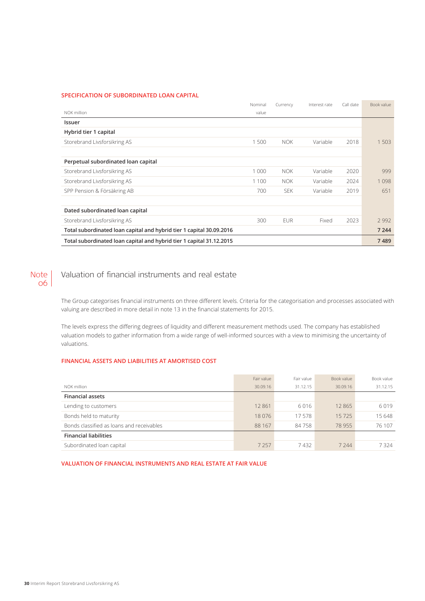### **SPECIFICATION OF SUBORDINATED LOAN CAPITAL**

|                                                                      | Nominal | Currency   | Interest rate | Call date | Book value |
|----------------------------------------------------------------------|---------|------------|---------------|-----------|------------|
| NOK million                                                          | value   |            |               |           |            |
| Issuer                                                               |         |            |               |           |            |
| Hybrid tier 1 capital                                                |         |            |               |           |            |
| Storebrand Livsforsikring AS                                         | 1500    | <b>NOK</b> | Variable      | 2018      | 1 503      |
|                                                                      |         |            |               |           |            |
| Perpetual subordinated loan capital                                  |         |            |               |           |            |
| Storebrand Livsforsikring AS                                         | 1 0 0 0 | <b>NOK</b> | Variable      | 2020      | 999        |
| Storebrand Livsforsikring AS                                         | 1 1 0 0 | <b>NOK</b> | Variable      | 2024      | 1098       |
| SPP Pension & Försäkring AB                                          | 700     | <b>SEK</b> | Variable      | 2019      | 651        |
|                                                                      |         |            |               |           |            |
| Dated subordinated loan capital                                      |         |            |               |           |            |
| Storebrand Livsforsikring AS                                         | 300     | <b>EUR</b> | Fixed         | 2023      | 2992       |
| Total subordinated loan capital and hybrid tier 1 capital 30.09.2016 |         |            |               |           | 7 2 4 4    |
| Total subordinated loan capital and hybrid tier 1 capital 31.12.2015 |         |            |               |           | 7489       |

### Note | 06

### Valuation of financial instruments and real estate

The Group categorises financial instruments on three different levels. Criteria for the categorisation and processes associated with valuing are described in more detail in note 13 in the financial statements for 2015.

The levels express the differing degrees of liquidity and different measurement methods used. The company has established valuation models to gather information from a wide range of well-informed sources with a view to minimising the uncertainty of valuations.

### **FINANCIAL ASSETS AND LIABILITIES AT AMORTISED COST**

|                                           | Fair value | Fair value | Book value | Book value |
|-------------------------------------------|------------|------------|------------|------------|
| NOK million                               | 30.09.16   | 31.12.15   | 30.09.16   | 31.12.15   |
| <b>Financial assets</b>                   |            |            |            |            |
| Lending to customers                      | 12 8 61    | 6 0 1 6    | 12865      | 6019       |
| Bonds held to maturity                    | 18076      | 17.578     | 15725      | 15 648     |
| Bonds classified as loans and receivables | 88 167     | 84758      | 78 955     | 76 107     |
| <b>Financial liabilities</b>              |            |            |            |            |
| Subordinated loan capital                 | 7 2 5 7    | 7432       | 7 2 4 4    | 7324       |

**VALUATION OF FINANCIAL INSTRUMENTS AND REAL ESTATE AT FAIR VALUE**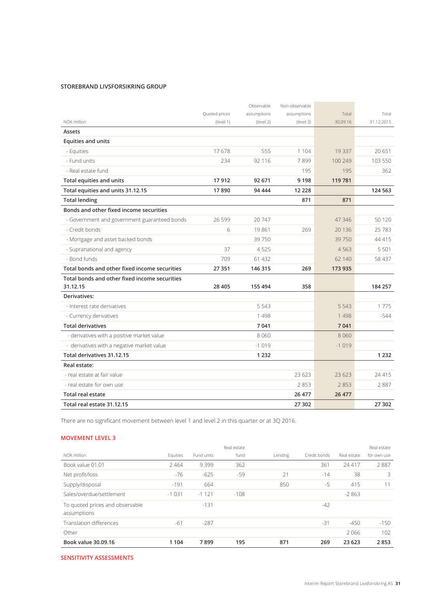### **STOREBRAND LIVSFORSIKRING GROUP**

|                                               |               | Observable  | Non-observable |          |            |
|-----------------------------------------------|---------------|-------------|----------------|----------|------------|
|                                               | Quoted prices | assumptions | assumptions    | Total    | Total      |
| NOK million                                   | (level 1)     | (level 2)   | (level 3)      | 30.09.16 | 31.12.2015 |
| Assets                                        |               |             |                |          |            |
| <b>Equities and units</b>                     |               |             |                |          |            |
| - Equities                                    | 17678         | 555         | 1 1 0 4        | 19 3 37  | 20 651     |
| - Fund units                                  | 234           | 92 116      | 7899           | 100 249  | 103 550    |
| - Real estate fund                            |               |             | 195            | 195      | 362        |
| Total equities and units                      | 17912         | 92 671      | 9 1 9 8        | 119 781  |            |
| Total equities and units 31.12.15             | 17890         | 94 444      | 12 2 2 8       |          | 124 563    |
| <b>Total lending</b>                          |               |             | 871            | 871      |            |
| Bonds and other fixed income securities       |               |             |                |          |            |
| - Government and government guaranteed bonds  | 26 5 9 9      | 20747       |                | 47 346   | 50 1 20    |
| - Credit bonds                                | 6             | 19861       | 269            | 20 13 6  | 25783      |
| - Mortgage and asset backed bonds             |               | 39750       |                | 39750    | 44 41 5    |
| - Supranational and agency                    | 37            | 4525        |                | 4563     | 5 5 0 1    |
| - Bond funds                                  | 709           | 61 4 32     |                | 62 140   | 58 437     |
| Total bonds and other fixed income securities | 27 351        | 146 315     | 269            | 173 935  |            |
| Total bonds and other fixed income securities |               |             |                |          |            |
| 31.12.15                                      | 28 4 05       | 155 494     | 358            |          | 184 257    |
| Derivatives:                                  |               |             |                |          |            |
| - Interest rate derivatives                   |               | 5 5 4 3     |                | 5 5 4 3  | 1775       |
| - Currency derivatives                        |               | 1498        |                | 1498     | $-544$     |
| <b>Total derivatives</b>                      |               | 7 0 41      |                | 7 0 41   |            |
| - derivatives with a positive market value    |               | 8 0 6 0     |                | 8 0 6 0  |            |
| - derivatives with a negative market value    |               | $-1019$     |                | $-1019$  |            |
| Total derivatives 31.12.15                    |               | 1 2 3 2     |                |          | 1 2 3 2    |
| Real estate:                                  |               |             |                |          |            |
| - real estate at fair value                   |               |             | 23 623         | 23 6 23  | 24 415     |
| - real estate for own use                     |               |             | 2853           | 2853     | 2887       |
| <b>Total real estate</b>                      |               |             | 26 477         | 26 477   |            |
| Total real estate 31.12.15                    |               |             | 27 302         |          | 27 302     |

There are no significant movement between level 1 and level 2 in this quarter or at 3Q 2016.

### **MOVEMENT LEVEL 3**

|                                                |          |            | Real estate |         |              |             | Real estate |
|------------------------------------------------|----------|------------|-------------|---------|--------------|-------------|-------------|
| NOK million                                    | Equities | Fund units | fund        | Lending | Credit bonds | Real estate | for own use |
| Book value 01.01                               | 2 4 6 4  | 9399       | 362         |         | 361          | 24 417      | 2887        |
| Net profit/loss                                | -76      | $-625$     | $-59$       | 21      | $-14$        | 38          | 3           |
| Supply/disposal                                | $-191$   | 664        |             | 850     | $-5$         | 415         | 11          |
| Sales/overdue/settlement                       | $-1031$  | $-1121$    | $-108$      |         |              | $-2863$     |             |
| To quoted prices and observable<br>assumptions |          | $-131$     |             |         | $-42$        |             |             |
| Translation differences                        | $-61$    | $-287$     |             |         | $-31$        | $-450$      | $-150$      |
| Other                                          |          |            |             |         |              | 2066        | 102         |
| Book value 30.09.16                            | 1 1 0 4  | 7899       | 195         | 871     | 269          | 23 623      | 2853        |

**SENSITIVITY ASSESSMENTS**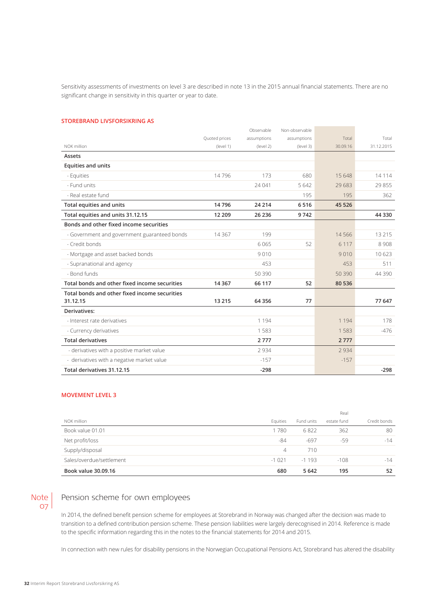Sensitivity assessments of investments on level 3 are described in note 13 in the 2015 annual financial statements. There are no significant change in sensitivity in this quarter or year to date.

### **STOREBRAND LIVSFORSIKRING AS**

|                                               |               | Observable  | Non-observable |          |            |
|-----------------------------------------------|---------------|-------------|----------------|----------|------------|
|                                               | Quoted prices | assumptions | assumptions    | Total    | Total      |
| NOK million                                   | (level 1)     | (level 2)   | (level 3)      | 30.09.16 | 31.12.2015 |
| Assets                                        |               |             |                |          |            |
| <b>Equities and units</b>                     |               |             |                |          |            |
| - Equities                                    | 14796         | 173         | 680            | 15 648   | 14114      |
| - Fund units                                  |               | 24 041      | 5642           | 29 683   | 29 855     |
| - Real estate fund                            |               |             | 195            | 195      | 362        |
| Total equities and units                      | 14796         | 24 214      | 6516           | 45 5 26  |            |
| Total equities and units 31.12.15             | 12 209        | 26 23 6     | 9742           |          | 44 3 30    |
| Bonds and other fixed income securities       |               |             |                |          |            |
| - Government and government guaranteed bonds  | 14 3 6 7      | 199         |                | 14566    | 13 2 15    |
| - Credit bonds                                |               | 6 0 6 5     | 52             | 6 1 1 7  | 8908       |
| - Mortgage and asset backed bonds             |               | 9010        |                | 9010     | 10 623     |
| - Supranational and agency                    |               | 453         |                | 453      | 511        |
| - Bond funds                                  |               | 50 390      |                | 50 390   | 44 3 9 0   |
| Total bonds and other fixed income securities | 14 3 67       | 66 117      | 52             | 80 536   |            |
| Total bonds and other fixed income securities |               |             |                |          |            |
| 31.12.15                                      | 13 2 15       | 64 3 5 6    | 77             |          | 77 647     |
| Derivatives:                                  |               |             |                |          |            |
| - Interest rate derivatives                   |               | 1 1 9 4     |                | 1 1 9 4  | 178        |
| - Currency derivatives                        |               | 1583        |                | 1 5 8 3  | $-476$     |
| <b>Total derivatives</b>                      |               | 2777        |                | 2777     |            |
| - derivatives with a positive market value    |               | 2934        |                | 2 9 3 4  |            |
| - derivatives with a negative market value    |               | $-157$      |                | $-157$   |            |
| Total derivatives 31.12.15                    |               | $-298$      |                |          | $-298$     |

### **MOVEMENT LEVEL 3**

|                          |          |            | Real        |              |
|--------------------------|----------|------------|-------------|--------------|
| NOK million              | Equities | Fund units | estate fund | Credit bonds |
| Book value 01.01         | 1780     | 6822       | 362         | 80           |
| Net profit/loss          | -84      | $-697$     | -59         | $-14$        |
| Supply/disposal          | 4        | 710        |             |              |
| Sales/overdue/settlement | $-1021$  | $-1193$    | $-108$      | $-14$        |
| Book value 30.09.16      | 680      | 5 6 4 2    | 195         | 52           |

Note |  $07<sup>1</sup>$ 

### Pension scheme for own employees

In 2014, the defined benefit pension scheme for employees at Storebrand in Norway was changed after the decision was made to transition to a defined contribution pension scheme. These pension liabilities were largely derecognised in 2014. Reference is made to the specific information regarding this in the notes to the financial statements for 2014 and 2015.

In connection with new rules for disability pensions in the Norwegian Occupational Pensions Act, Storebrand has altered the disability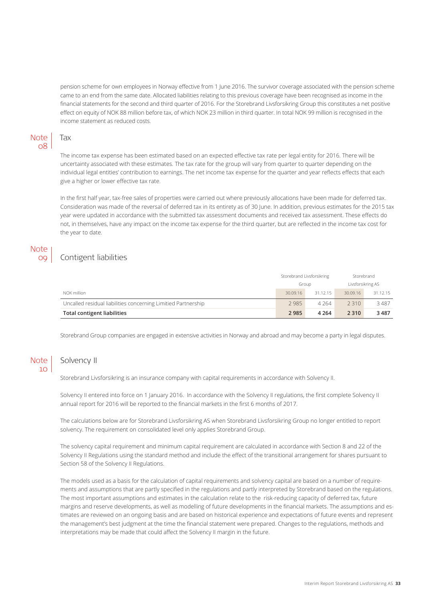pension scheme for own employees in Norway effective from 1 June 2016. The survivor coverage associated with the pension scheme came to an end from the same date. Allocated liabilities relating to this previous coverage have been recognised as income in the financial statements for the second and third quarter of 2016. For the Storebrand Livsforsikring Group this constitutes a net positive effect on equity of NOK 88 million before tax, of which NOK 23 million in third quarter. In total NOK 99 million is recognised in the income statement as reduced costs.

#### Tax **Note** 08

The income tax expense has been estimated based on an expected effective tax rate per legal entity for 2016. There will be uncertainty associated with these estimates. The tax rate for the group will vary from quarter to quarter depending on the individual legal entities' contribution to earnings. The net income tax expense for the quarter and year reflects effects that each give a higher or lower effective tax rate.

In the first half year, tax-free sales of properties were carried out where previously allocations have been made for deferred tax. Consideration was made of the reversal of deferred tax in its entirety as of 30 June. In addition, previous estimates for the 2015 tax year were updated in accordance with the submitted tax assessment documents and received tax assessment. These effects do not, in themselves, have any impact on the income tax expense for the third quarter, but are reflected in the income tax cost for the year to date.

### Note 09

### Contigent liabilities

|                                                               | Storebrand Livsforsikring |          | Storebrand        |          |
|---------------------------------------------------------------|---------------------------|----------|-------------------|----------|
|                                                               | Group                     |          | Livsforsikring AS |          |
| NOK million                                                   | 30.09.16                  | 31.12.15 | 30.09.16          | 31.12.15 |
| Uncalled residual liabilities concerning Limitied Partnership | 2985                      | 4 2 6 4  | 2 3 1 0           | 3487     |
| Total contigent liabilities                                   | 2 9 8 5                   | 4 2 6 4  | 2 3 1 0           | 3487     |

Storebrand Group companies are engaged in extensive activities in Norway and abroad and may become a party in legal disputes.

#### Solvency II Note  $10<sup>1</sup>$

Storebrand Livsforsikring is an insurance company with capital requirements in accordance with Solvency II.

Solvency II entered into force on 1 January 2016. In accordance with the Solvency II regulations, the first complete Solvency II annual report for 2016 will be reported to the financial markets in the first 6 months of 2017.

The calculations below are for Storebrand Livsforsikring AS when Storebrand Livsforsikring Group no longer entitled to report solvency. The requirement on consolidated level only applies Storebrand Group.

The solvency capital requirement and minimum capital requirement are calculated in accordance with Section 8 and 22 of the Solvency II Regulations using the standard method and include the effect of the transitional arrangement for shares pursuant to Section 58 of the Solvency II Regulations.

The models used as a basis for the calculation of capital requirements and solvency capital are based on a number of requirements and assumptions that are partly specified in the regulations and partly interpreted by Storebrand based on the regulations. The most important assumptions and estimates in the calculation relate to the risk-reducing capacity of deferred tax, future margins and reserve developments, as well as modelling of future developments in the financial markets. The assumptions and estimates are reviewed on an ongoing basis and are based on historical experience and expectations of future events and represent the management's best judgment at the time the financial statement were prepared. Changes to the regulations, methods and interpretations may be made that could affect the Solvency II margin in the future.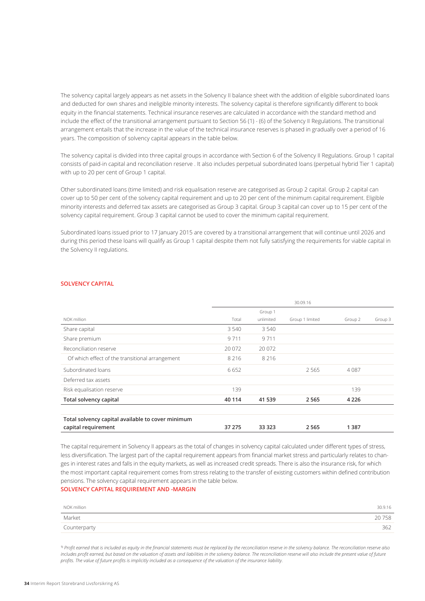The solvency capital largely appears as net assets in the Solvency II balance sheet with the addition of eligible subordinated loans and deducted for own shares and ineligible minority interests. The solvency capital is therefore significantly different to book equity in the financial statements. Technical insurance reserves are calculated in accordance with the standard method and include the effect of the transitional arrangement pursuant to Section 56 (1) - (6) of the Solvency II Regulations. The transitional arrangement entails that the increase in the value of the technical insurance reserves is phased in gradually over a period of 16 years. The composition of solvency capital appears in the table below.

The solvency capital is divided into three capital groups in accordance with Section 6 of the Solvency II Regulations. Group 1 capital consists of paid-in capital and reconciliation reserve . It also includes perpetual subordinated loans (perpetual hybrid Tier 1 capital) with up to 20 per cent of Group 1 capital.

Other subordinated loans (time limited) and risk equalisation reserve are categorised as Group 2 capital. Group 2 capital can cover up to 50 per cent of the solvency capital requirement and up to 20 per cent of the minimum capital requirement. Eligible minority interests and deferred tax assets are categorised as Group 3 capital. Group 3 capital can cover up to 15 per cent of the solvency capital requirement. Group 3 capital cannot be used to cover the minimum capital requirement.

Subordinated loans issued prior to 17 January 2015 are covered by a transitional arrangement that will continue until 2026 and during this period these loans will qualify as Group 1 capital despite them not fully satisfying the requirements for viable capital in the Solvency II regulations.

### **SOLVENCY CAPITAL**

|                                                   |         |           | 30.09.16        |         |         |
|---------------------------------------------------|---------|-----------|-----------------|---------|---------|
|                                                   |         | Group 1   |                 |         |         |
| NOK million                                       | Total   | unlimited | Group 1 limited | Group 2 | Group 3 |
| Share capital                                     | 3 5 4 0 | 3 5 4 0   |                 |         |         |
| Share premium                                     | 9711    | 9711      |                 |         |         |
| Reconciliation reserve                            | 20.072  | 20 072    |                 |         |         |
| Of which effect of the transitional arrangement   | 8 2 1 6 | 8 2 1 6   |                 |         |         |
| Subordinated loans                                | 6652    |           | 2 5 6 5         | 4087    |         |
| Deferred tax assets                               |         |           |                 |         |         |
| Risk equalisation reserve                         | 139     |           |                 | 139     |         |
| Total solvency capital                            | 40 114  | 41 539    | 2565            | 4 2 2 6 |         |
|                                                   |         |           |                 |         |         |
| Total solvency capital available to cover minimum |         |           |                 |         |         |
| capital requirement                               | 37 275  | 33 3 23   | 2565            | 1 3 8 7 |         |

The capital requirement in Solvency II appears as the total of changes in solvency capital calculated under different types of stress, less diversification. The largest part of the capital requirement appears from financial market stress and particularly relates to changes in interest rates and falls in the equity markets, as well as increased credit spreads. There is also the insurance risk, for which the most important capital requirement comes from stress relating to the transfer of existing customers within defined contribution pensions. The solvency capital requirement appears in the table below.

### **SOLVENCY CAPITAL REQUIREMENT AND -MARGIN**

| NOK million  | 30.9.16 |
|--------------|---------|
| Market       | 20758   |
| Counterparty | 362     |

<sup>1)</sup> Profit earned that is included as equity in the financial statements must be replaced by the reconciliation reserve in the solvency balance. The reconciliation reserve also includes profit earned, but based on the valuation of assets and liabilities in the solvency balance. The reconciliation reserve will also include the present value of future *profits. The value of future profits is implicitly included as a consequence of the valuation of the insurance liability.*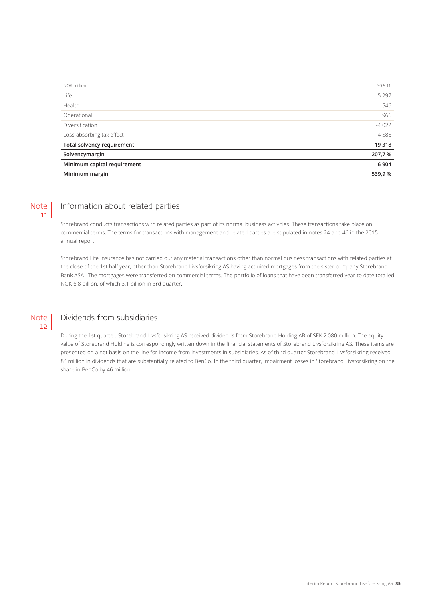| NOK million                 | 30.9.16 |
|-----------------------------|---------|
| Life                        | 5 2 9 7 |
| Health                      | 546     |
| Operational                 | 966     |
| Diversification             | $-4022$ |
| Loss-absorbing tax effect   | $-4588$ |
| Total solvency requirement  | 19 318  |
| Solvencymargin              | 207,7%  |
| Minimum capital requirement | 6 9 0 4 |
| Minimum margin              | 539,9%  |

#### Information about related parties Note 11

Storebrand conducts transactions with related parties as part of its normal business activities. These transactions take place on commercial terms. The terms for transactions with management and related parties are stipulated in notes 24 and 46 in the 2015 annual report.

Storebrand Life Insurance has not carried out any material transactions other than normal business transactions with related parties at the close of the 1st half year, other than Storebrand Livsforsikring AS having acquired mortgages from the sister company Storebrand Bank ASA . The mortgages were transferred on commercial terms. The portfolio of loans that have been transferred year to date totalled NOK 6.8 billion, of which 3.1 billion in 3rd quarter.



### Dividends from subsidiaries

During the 1st quarter, Storebrand Livsforsikring AS received dividends from Storebrand Holding AB of SEK 2,080 million. The equity value of Storebrand Holding is correspondingly written down in the financial statements of Storebrand Livsforsikring AS. These items are presented on a net basis on the line for income from investments in subsidiaries. As of third quarter Storebrand Livsforsikring received 84 million in dividends that are substantially related to BenCo. In the third quarter, impairment losses in Storebrand Livsforsikring on the share in BenCo by 46 million.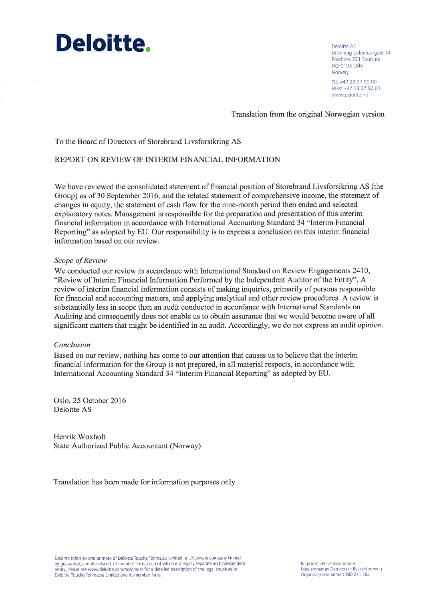# Deloitte.

Deloitte AS Dronning Eufemias gate 14 Postboks 221 Sentrum NO-0103 Oslo Norway Tlf: +47 23 27 90 00 Faks: +47 23 27 90 01 www.deloitte.no

Translation from the original Norwegian version

To the Board of Directors of Storebrand Livsforsikring AS

### REPORT ON REVIEW OF INTERIM FINANCIAL INFORMATION

We have reviewed the consolidated statement of financial position of Storebrand Livsforsikring AS (the Group) as of 30 September 2016, and the related statement of comprehensive income, the statement of changes in equity, the statement of cash flow for the nine-month period then ended and selected explanatory notes. Management is responsible for the preparation and presentation of this interim financial information in accordance with International Accounting Standard 34 "Interim Financial Reporting" as adopted by EU. Our responsibility is to express a conclusion on this interim financial information based on our review.

### Scope of Review

We conducted our review in accordance with International Standard on Review Engagements 2410, "Review of Interim Financial Information Performed by the Independent Auditor of the Entity". A review of interim financial information consists of making inquiries, primarily of persons responsible for financial and accounting matters, and applying analytical and other review procedures. A review is substantially less in scope than an audit conducted in accordance with International Standards on Auditing and consequently does not enable us to obtain assurance that we would become aware of all significant matters that might be identified in an audit. Accordingly, we do not express an audit opinion.

### Conclusion

Based on our review, nothing has come to our attention that causes us to believe that the interim financial information for the Group is not prepared, in all material respects, in accordance with International Accounting Standard 34 "Interim Financial Reporting" as adopted by EU.

Oslo, 25 October 2016 Deloitte AS

Henrik Woxholt State Authorized Public Accountant (Norway)

Translation has been made for information purposes only